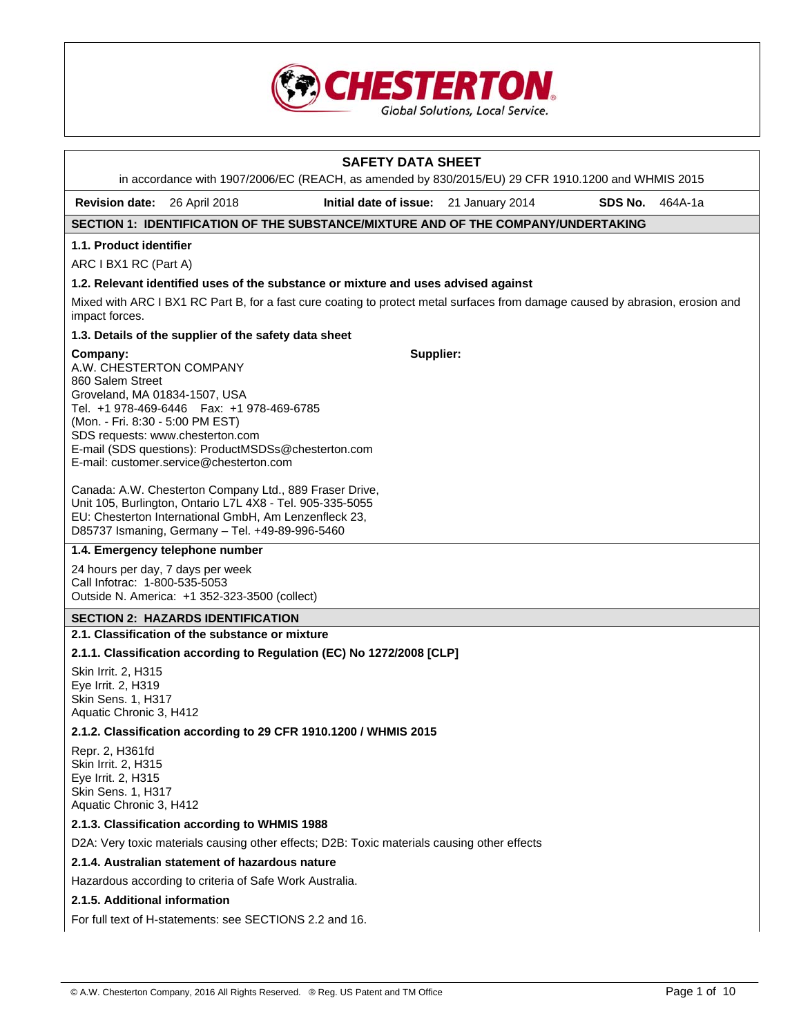

| <b>SAFETY DATA SHEET</b>                                                                                                     |                                                                                                                                                                                                                                  |                                        |  |         |         |  |  |  |  |
|------------------------------------------------------------------------------------------------------------------------------|----------------------------------------------------------------------------------------------------------------------------------------------------------------------------------------------------------------------------------|----------------------------------------|--|---------|---------|--|--|--|--|
|                                                                                                                              | in accordance with 1907/2006/EC (REACH, as amended by 830/2015/EU) 29 CFR 1910.1200 and WHMIS 2015                                                                                                                               |                                        |  |         |         |  |  |  |  |
| <b>Revision date:</b>                                                                                                        | 26 April 2018                                                                                                                                                                                                                    | Initial date of issue: 21 January 2014 |  | SDS No. | 464A-1a |  |  |  |  |
|                                                                                                                              | SECTION 1: IDENTIFICATION OF THE SUBSTANCE/MIXTURE AND OF THE COMPANY/UNDERTAKING                                                                                                                                                |                                        |  |         |         |  |  |  |  |
| 1.1. Product identifier                                                                                                      |                                                                                                                                                                                                                                  |                                        |  |         |         |  |  |  |  |
|                                                                                                                              | ARC I BX1 RC (Part A)                                                                                                                                                                                                            |                                        |  |         |         |  |  |  |  |
|                                                                                                                              | 1.2. Relevant identified uses of the substance or mixture and uses advised against                                                                                                                                               |                                        |  |         |         |  |  |  |  |
| impact forces.                                                                                                               | Mixed with ARC I BX1 RC Part B, for a fast cure coating to protect metal surfaces from damage caused by abrasion, erosion and                                                                                                    |                                        |  |         |         |  |  |  |  |
|                                                                                                                              | 1.3. Details of the supplier of the safety data sheet                                                                                                                                                                            |                                        |  |         |         |  |  |  |  |
| Company:<br>A.W. CHESTERTON COMPANY<br>860 Salem Street<br>Groveland, MA 01834-1507, USA<br>(Mon. - Fri. 8:30 - 5:00 PM EST) | Tel. +1 978-469-6446    Fax: +1 978-469-6785<br>SDS requests: www.chesterton.com<br>E-mail (SDS questions): ProductMSDSs@chesterton.com<br>E-mail: customer.service@chesterton.com                                               | Supplier:                              |  |         |         |  |  |  |  |
|                                                                                                                              | Canada: A.W. Chesterton Company Ltd., 889 Fraser Drive,<br>Unit 105, Burlington, Ontario L7L 4X8 - Tel. 905-335-5055<br>EU: Chesterton International GmbH, Am Lenzenfleck 23,<br>D85737 Ismaning, Germany - Tel. +49-89-996-5460 |                                        |  |         |         |  |  |  |  |
|                                                                                                                              | 1.4. Emergency telephone number                                                                                                                                                                                                  |                                        |  |         |         |  |  |  |  |
| 24 hours per day, 7 days per week<br>Call Infotrac: 1-800-535-5053                                                           | Outside N. America: +1 352-323-3500 (collect)                                                                                                                                                                                    |                                        |  |         |         |  |  |  |  |
|                                                                                                                              | <b>SECTION 2: HAZARDS IDENTIFICATION</b>                                                                                                                                                                                         |                                        |  |         |         |  |  |  |  |
|                                                                                                                              | 2.1. Classification of the substance or mixture                                                                                                                                                                                  |                                        |  |         |         |  |  |  |  |
|                                                                                                                              | 2.1.1. Classification according to Regulation (EC) No 1272/2008 [CLP]                                                                                                                                                            |                                        |  |         |         |  |  |  |  |
| Skin Irrit. 2, H315<br>Eye Irrit. 2, H319<br>Skin Sens. 1, H317<br>Aquatic Chronic 3, H412                                   |                                                                                                                                                                                                                                  |                                        |  |         |         |  |  |  |  |
|                                                                                                                              | 2.1.2. Classification according to 29 CFR 1910.1200 / WHMIS 2015                                                                                                                                                                 |                                        |  |         |         |  |  |  |  |
| Repr. 2, H361fd<br>Skin Irrit. 2, H315<br>Eye Irrit. 2, H315<br>Skin Sens. 1, H317<br>Aquatic Chronic 3, H412                |                                                                                                                                                                                                                                  |                                        |  |         |         |  |  |  |  |
|                                                                                                                              | 2.1.3. Classification according to WHMIS 1988                                                                                                                                                                                    |                                        |  |         |         |  |  |  |  |
|                                                                                                                              | D2A: Very toxic materials causing other effects; D2B: Toxic materials causing other effects                                                                                                                                      |                                        |  |         |         |  |  |  |  |
|                                                                                                                              | 2.1.4. Australian statement of hazardous nature                                                                                                                                                                                  |                                        |  |         |         |  |  |  |  |
|                                                                                                                              | Hazardous according to criteria of Safe Work Australia.                                                                                                                                                                          |                                        |  |         |         |  |  |  |  |
| 2.1.5. Additional information                                                                                                |                                                                                                                                                                                                                                  |                                        |  |         |         |  |  |  |  |
|                                                                                                                              | For full text of H-statements: see SECTIONS 2.2 and 16.                                                                                                                                                                          |                                        |  |         |         |  |  |  |  |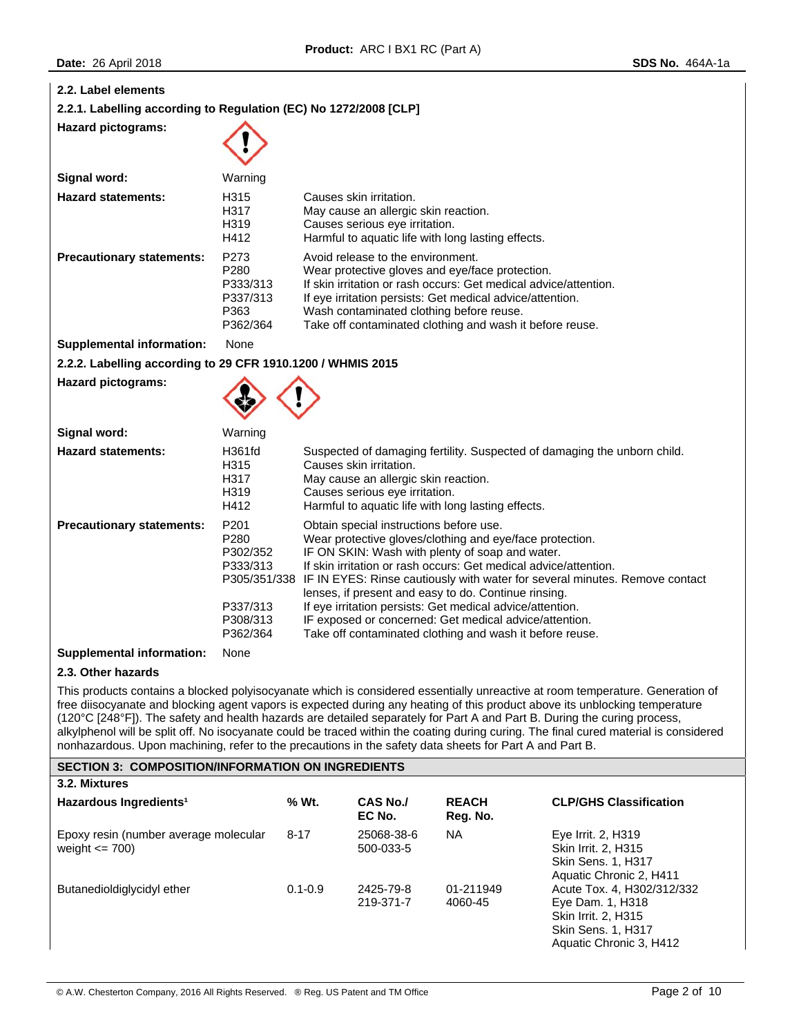| 2.2. Label elements<br>2.2.1. Labelling according to Regulation (EC) No 1272/2008 [CLP]<br><b>Hazard pictograms:</b>                                                                                                                                                                                                                                                                                                                                                                                                                                                                                                                         |                                                                          |                                                                                                                                                                                                                                                                                                                                                                                                                                                                                                       |                                                                                                   |                                                                                                                                                                                                                                                                                          |                                           |  |  |
|----------------------------------------------------------------------------------------------------------------------------------------------------------------------------------------------------------------------------------------------------------------------------------------------------------------------------------------------------------------------------------------------------------------------------------------------------------------------------------------------------------------------------------------------------------------------------------------------------------------------------------------------|--------------------------------------------------------------------------|-------------------------------------------------------------------------------------------------------------------------------------------------------------------------------------------------------------------------------------------------------------------------------------------------------------------------------------------------------------------------------------------------------------------------------------------------------------------------------------------------------|---------------------------------------------------------------------------------------------------|------------------------------------------------------------------------------------------------------------------------------------------------------------------------------------------------------------------------------------------------------------------------------------------|-------------------------------------------|--|--|
| Signal word:                                                                                                                                                                                                                                                                                                                                                                                                                                                                                                                                                                                                                                 | Warning                                                                  |                                                                                                                                                                                                                                                                                                                                                                                                                                                                                                       |                                                                                                   |                                                                                                                                                                                                                                                                                          |                                           |  |  |
| <b>Hazard statements:</b>                                                                                                                                                                                                                                                                                                                                                                                                                                                                                                                                                                                                                    | H315<br>H317<br>H319<br>H412                                             |                                                                                                                                                                                                                                                                                                                                                                                                                                                                                                       | Causes skin irritation.<br>May cause an allergic skin reaction.<br>Causes serious eye irritation. | Harmful to aquatic life with long lasting effects.                                                                                                                                                                                                                                       |                                           |  |  |
| <b>Precautionary statements:</b>                                                                                                                                                                                                                                                                                                                                                                                                                                                                                                                                                                                                             | P273<br>P280<br>P333/313<br>P337/313<br>P363<br>P362/364                 |                                                                                                                                                                                                                                                                                                                                                                                                                                                                                                       | Avoid release to the environment.                                                                 | Wear protective gloves and eye/face protection.<br>If skin irritation or rash occurs: Get medical advice/attention.<br>If eye irritation persists: Get medical advice/attention.<br>Wash contaminated clothing before reuse.<br>Take off contaminated clothing and wash it before reuse. |                                           |  |  |
| <b>Supplemental information:</b>                                                                                                                                                                                                                                                                                                                                                                                                                                                                                                                                                                                                             | None                                                                     |                                                                                                                                                                                                                                                                                                                                                                                                                                                                                                       |                                                                                                   |                                                                                                                                                                                                                                                                                          |                                           |  |  |
| 2.2.2. Labelling according to 29 CFR 1910.1200 / WHMIS 2015                                                                                                                                                                                                                                                                                                                                                                                                                                                                                                                                                                                  |                                                                          |                                                                                                                                                                                                                                                                                                                                                                                                                                                                                                       |                                                                                                   |                                                                                                                                                                                                                                                                                          |                                           |  |  |
| <b>Hazard pictograms:</b>                                                                                                                                                                                                                                                                                                                                                                                                                                                                                                                                                                                                                    |                                                                          |                                                                                                                                                                                                                                                                                                                                                                                                                                                                                                       |                                                                                                   |                                                                                                                                                                                                                                                                                          |                                           |  |  |
| Signal word:                                                                                                                                                                                                                                                                                                                                                                                                                                                                                                                                                                                                                                 | Warning                                                                  |                                                                                                                                                                                                                                                                                                                                                                                                                                                                                                       |                                                                                                   |                                                                                                                                                                                                                                                                                          |                                           |  |  |
| <b>Hazard statements:</b>                                                                                                                                                                                                                                                                                                                                                                                                                                                                                                                                                                                                                    | H361fd<br>H315<br>H317<br>H319<br>H412                                   | Suspected of damaging fertility. Suspected of damaging the unborn child.<br>Causes skin irritation.<br>May cause an allergic skin reaction.<br>Causes serious eye irritation.<br>Harmful to aquatic life with long lasting effects.                                                                                                                                                                                                                                                                   |                                                                                                   |                                                                                                                                                                                                                                                                                          |                                           |  |  |
| <b>Precautionary statements:</b>                                                                                                                                                                                                                                                                                                                                                                                                                                                                                                                                                                                                             | P201<br>P280<br>P302/352<br>P333/313<br>P337/313<br>P308/313<br>P362/364 | Obtain special instructions before use.<br>Wear protective gloves/clothing and eye/face protection.<br>IF ON SKIN: Wash with plenty of soap and water.<br>If skin irritation or rash occurs: Get medical advice/attention.<br>P305/351/338 IF IN EYES: Rinse cautiously with water for several minutes. Remove contact<br>lenses, if present and easy to do. Continue rinsing.<br>If eye irritation persists: Get medical advice/attention.<br>IF exposed or concerned: Get medical advice/attention. |                                                                                                   |                                                                                                                                                                                                                                                                                          |                                           |  |  |
| <b>Supplemental information:</b>                                                                                                                                                                                                                                                                                                                                                                                                                                                                                                                                                                                                             | None                                                                     |                                                                                                                                                                                                                                                                                                                                                                                                                                                                                                       |                                                                                                   | Take off contaminated clothing and wash it before reuse.                                                                                                                                                                                                                                 |                                           |  |  |
| 2.3. Other hazards                                                                                                                                                                                                                                                                                                                                                                                                                                                                                                                                                                                                                           |                                                                          |                                                                                                                                                                                                                                                                                                                                                                                                                                                                                                       |                                                                                                   |                                                                                                                                                                                                                                                                                          |                                           |  |  |
| This products contains a blocked polyisocyanate which is considered essentially unreactive at room temperature. Generation of<br>free diisocyanate and blocking agent vapors is expected during any heating of this product above its unblocking temperature<br>(120°C [248°F]). The safety and health hazards are detailed separately for Part A and Part B. During the curing process,<br>alkylphenol will be split off. No isocyanate could be traced within the coating during curing. The final cured material is considered<br>nonhazardous. Upon machining, refer to the precautions in the safety data sheets for Part A and Part B. |                                                                          |                                                                                                                                                                                                                                                                                                                                                                                                                                                                                                       |                                                                                                   |                                                                                                                                                                                                                                                                                          |                                           |  |  |
| <b>SECTION 3: COMPOSITION/INFORMATION ON INGREDIENTS</b>                                                                                                                                                                                                                                                                                                                                                                                                                                                                                                                                                                                     |                                                                          |                                                                                                                                                                                                                                                                                                                                                                                                                                                                                                       |                                                                                                   |                                                                                                                                                                                                                                                                                          |                                           |  |  |
| 3.2. Mixtures                                                                                                                                                                                                                                                                                                                                                                                                                                                                                                                                                                                                                                |                                                                          |                                                                                                                                                                                                                                                                                                                                                                                                                                                                                                       |                                                                                                   |                                                                                                                                                                                                                                                                                          |                                           |  |  |
| Hazardous Ingredients <sup>1</sup>                                                                                                                                                                                                                                                                                                                                                                                                                                                                                                                                                                                                           |                                                                          | % Wt.                                                                                                                                                                                                                                                                                                                                                                                                                                                                                                 | <b>CAS No./</b><br>EC No.                                                                         | <b>REACH</b><br>Reg. No.                                                                                                                                                                                                                                                                 | <b>CLP/GHS Classification</b>             |  |  |
| Epoxy resin (number average molecular<br>weight $\leq$ 700)                                                                                                                                                                                                                                                                                                                                                                                                                                                                                                                                                                                  |                                                                          | $8 - 17$                                                                                                                                                                                                                                                                                                                                                                                                                                                                                              | 25068-38-6<br>500-033-5                                                                           | <b>NA</b>                                                                                                                                                                                                                                                                                | Eye Irrit. 2, H319<br>Skin Irrit. 2, H315 |  |  |

219-371-7

01-211949 4060-45

Skin Sens. 1, H317 Aquatic Chronic 2, H411 Acute Tox. 4, H302/312/332 Eye Dam. 1, H318 Skin Irrit. 2, H315 Skin Sens. 1, H317 Aquatic Chronic 3, H412

Butanedioldiglycidyl ether 0.1-0.9 2425-79-8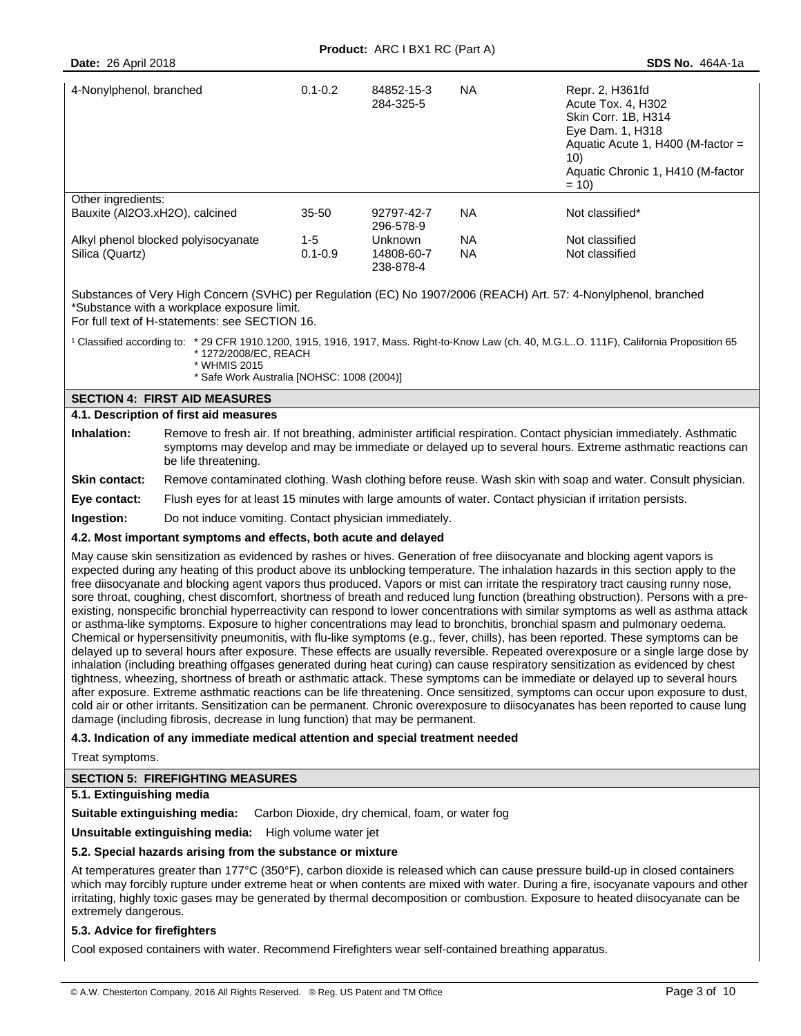| 4-Nonylphenol, branched                                                                     | $0.1 - 0.2$          | 84852-15-3<br>284-325-5                   | NA.      | Repr. 2, H361fd<br>Acute Tox. 4. H302<br><b>Skin Corr. 1B. H314</b><br>Eye Dam. 1, H318<br>Aquatic Acute 1, H400 (M-factor $=$<br>10)<br>Aquatic Chronic 1, H410 (M-factor<br>$= 10$ |
|---------------------------------------------------------------------------------------------|----------------------|-------------------------------------------|----------|--------------------------------------------------------------------------------------------------------------------------------------------------------------------------------------|
| Other ingredients:<br>Bauxite (Al2O3.xH2O), calcined<br>Alkyl phenol blocked polyisocyanate | $35 - 50$<br>$1 - 5$ | 92797-42-7<br>296-578-9<br><b>Unknown</b> | NA<br>NA | Not classified*<br>Not classified                                                                                                                                                    |
| Silica (Quartz)                                                                             | $0.1 - 0.9$          | 14808-60-7<br>238-878-4                   | NA       | Not classified                                                                                                                                                                       |

Substances of Very High Concern (SVHC) per Regulation (EC) No 1907/2006 (REACH) Art. 57: 4-Nonylphenol, branched \*Substance with a workplace exposure limit.

For full text of H-statements: see SECTION 16.

<sup>1</sup> Classified according to: \* 29 CFR 1910.1200, 1915, 1916, 1917, Mass. Right-to-Know Law (ch. 40, M.G.L..O. 111F), California Proposition 65 \* 1272/2008/EC, REACH

\* WHMIS 2015

\* Safe Work Australia [NOHSC: 1008 (2004)]

## **SECTION 4: FIRST AID MEASURES**

#### **4.1. Description of first aid measures**

| Inhalation: | Remove to fresh air. If not breathing, administer artificial respiration. Contact physician immediately. Asthmatic |
|-------------|--------------------------------------------------------------------------------------------------------------------|
|             | symptoms may develop and may be immediate or delayed up to several hours. Extreme asthmatic reactions can          |
|             | be life threatening.                                                                                               |

#### **Skin contact:** Remove contaminated clothing. Wash clothing before reuse. Wash skin with soap and water. Consult physician.

**Eye contact:** Flush eyes for at least 15 minutes with large amounts of water. Contact physician if irritation persists.

**Ingestion:** Do not induce vomiting. Contact physician immediately.

## **4.2. Most important symptoms and effects, both acute and delayed**

May cause skin sensitization as evidenced by rashes or hives. Generation of free diisocyanate and blocking agent vapors is expected during any heating of this product above its unblocking temperature. The inhalation hazards in this section apply to the free diisocyanate and blocking agent vapors thus produced. Vapors or mist can irritate the respiratory tract causing runny nose, sore throat, coughing, chest discomfort, shortness of breath and reduced lung function (breathing obstruction). Persons with a preexisting, nonspecific bronchial hyperreactivity can respond to lower concentrations with similar symptoms as well as asthma attack or asthma-like symptoms. Exposure to higher concentrations may lead to bronchitis, bronchial spasm and pulmonary oedema. Chemical or hypersensitivity pneumonitis, with flu-like symptoms (e.g., fever, chills), has been reported. These symptoms can be delayed up to several hours after exposure. These effects are usually reversible. Repeated overexposure or a single large dose by inhalation (including breathing offgases generated during heat curing) can cause respiratory sensitization as evidenced by chest tightness, wheezing, shortness of breath or asthmatic attack. These symptoms can be immediate or delayed up to several hours after exposure. Extreme asthmatic reactions can be life threatening. Once sensitized, symptoms can occur upon exposure to dust, cold air or other irritants. Sensitization can be permanent. Chronic overexposure to diisocyanates has been reported to cause lung damage (including fibrosis, decrease in lung function) that may be permanent.

## **4.3. Indication of any immediate medical attention and special treatment needed**

Treat symptoms.

## **SECTION 5: FIREFIGHTING MEASURES**

## **5.1. Extinguishing media**

**Suitable extinguishing media:** Carbon Dioxide, dry chemical, foam, or water fog

**Unsuitable extinguishing media:** High volume water jet

## **5.2. Special hazards arising from the substance or mixture**

At temperatures greater than 177°C (350°F), carbon dioxide is released which can cause pressure build-up in closed containers which may forcibly rupture under extreme heat or when contents are mixed with water. During a fire, isocyanate vapours and other irritating, highly toxic gases may be generated by thermal decomposition or combustion. Exposure to heated diisocyanate can be extremely dangerous.

## **5.3. Advice for firefighters**

Cool exposed containers with water. Recommend Firefighters wear self-contained breathing apparatus.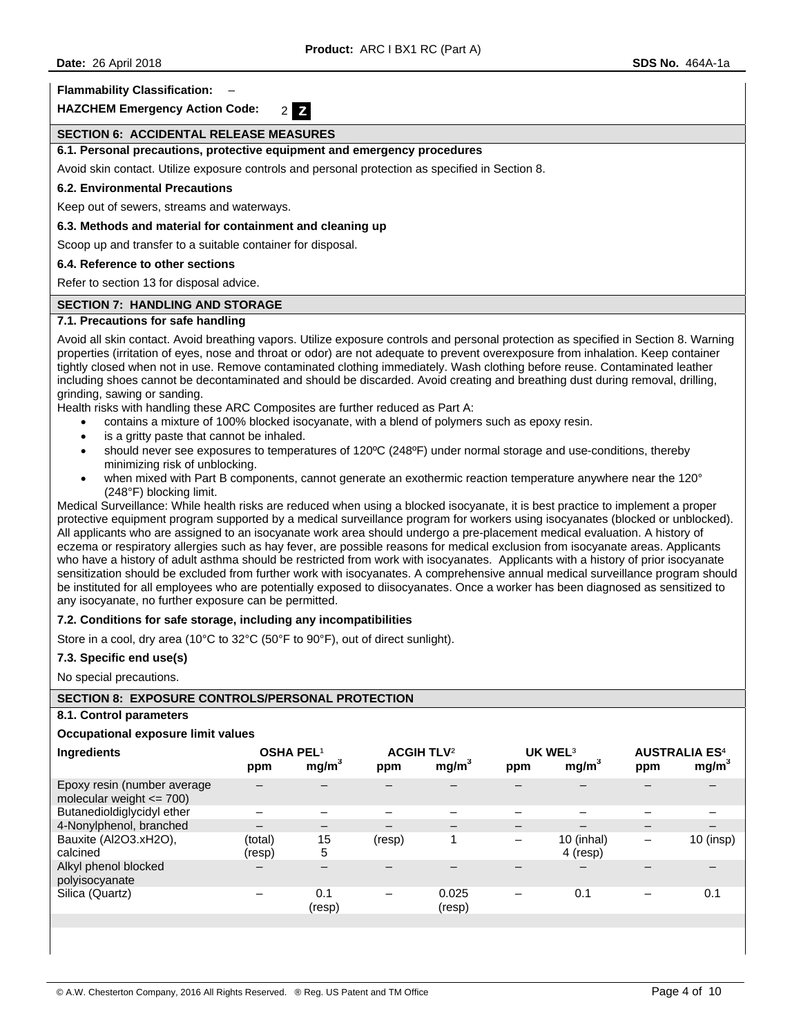**Flammability Classification:** –

**HAZCHEM Emergency Action Code:** 2 **Z** 

## **SECTION 6: ACCIDENTAL RELEASE MEASURES**

## **6.1. Personal precautions, protective equipment and emergency procedures**

Avoid skin contact. Utilize exposure controls and personal protection as specified in Section 8.

#### **6.2. Environmental Precautions**

Keep out of sewers, streams and waterways.

#### **6.3. Methods and material for containment and cleaning up**

Scoop up and transfer to a suitable container for disposal.

#### **6.4. Reference to other sections**

Refer to section 13 for disposal advice.

## **SECTION 7: HANDLING AND STORAGE**

#### **7.1. Precautions for safe handling**

Avoid all skin contact. Avoid breathing vapors. Utilize exposure controls and personal protection as specified in Section 8. Warning properties (irritation of eyes, nose and throat or odor) are not adequate to prevent overexposure from inhalation. Keep container tightly closed when not in use. Remove contaminated clothing immediately. Wash clothing before reuse. Contaminated leather including shoes cannot be decontaminated and should be discarded. Avoid creating and breathing dust during removal, drilling, grinding, sawing or sanding.

Health risks with handling these ARC Composites are further reduced as Part A:

- contains a mixture of 100% blocked isocyanate, with a blend of polymers such as epoxy resin.
- is a gritty paste that cannot be inhaled.
- should never see exposures to temperatures of 120ºC (248ºF) under normal storage and use-conditions, thereby minimizing risk of unblocking.
- when mixed with Part B components, cannot generate an exothermic reaction temperature anywhere near the 120° (248°F) blocking limit.

Medical Surveillance: While health risks are reduced when using a blocked isocyanate, it is best practice to implement a proper protective equipment program supported by a medical surveillance program for workers using isocyanates (blocked or unblocked). All applicants who are assigned to an isocyanate work area should undergo a pre-placement medical evaluation. A history of eczema or respiratory allergies such as hay fever, are possible reasons for medical exclusion from isocyanate areas. Applicants who have a history of adult asthma should be restricted from work with isocyanates. Applicants with a history of prior isocyanate sensitization should be excluded from further work with isocyanates. A comprehensive annual medical surveillance program should be instituted for all employees who are potentially exposed to diisocyanates. Once a worker has been diagnosed as sensitized to any isocyanate, no further exposure can be permitted.

#### **7.2. Conditions for safe storage, including any incompatibilities**

Store in a cool, dry area (10°C to 32°C (50°F to 90°F), out of direct sunlight).

#### **7.3. Specific end use(s)**

No special precautions.

## **SECTION 8: EXPOSURE CONTROLS/PERSONAL PROTECTION**

## **8.1. Control parameters**

#### **Occupational exposure limit values**

| Ingredients                                                 | <b>OSHA PEL1</b><br>ppm | mg/m <sup>3</sup> | <b>ACGIH TLV<sup>2</sup></b><br>ppm | mg/m <sup>3</sup> | ppm | UK WEL <sup>3</sup><br>mg/m <sup>3</sup> | ppm | <b>AUSTRALIA ES<sup>4</sup></b><br>mg/m <sup>3</sup> |
|-------------------------------------------------------------|-------------------------|-------------------|-------------------------------------|-------------------|-----|------------------------------------------|-----|------------------------------------------------------|
| Epoxy resin (number average<br>molecular weight $\leq$ 700) |                         |                   |                                     |                   |     |                                          |     |                                                      |
| Butanedioldiglycidyl ether                                  |                         |                   |                                     |                   |     |                                          |     |                                                      |
| 4-Nonylphenol, branched                                     |                         | —                 |                                     |                   |     |                                          |     |                                                      |
| Bauxite (Al2O3.xH2O),<br>calcined                           | (total)<br>(resp)       | 15<br>5           | (resp)                              | 1                 | -   | 10 (inhal)<br>4 (resp)                   |     | 10 (insp)                                            |
| Alkyl phenol blocked<br>polyisocyanate                      |                         |                   |                                     |                   |     |                                          |     |                                                      |
| Silica (Quartz)                                             |                         | 0.1<br>(resp)     |                                     | 0.025<br>(resp)   |     | 0.1                                      |     | 0.1                                                  |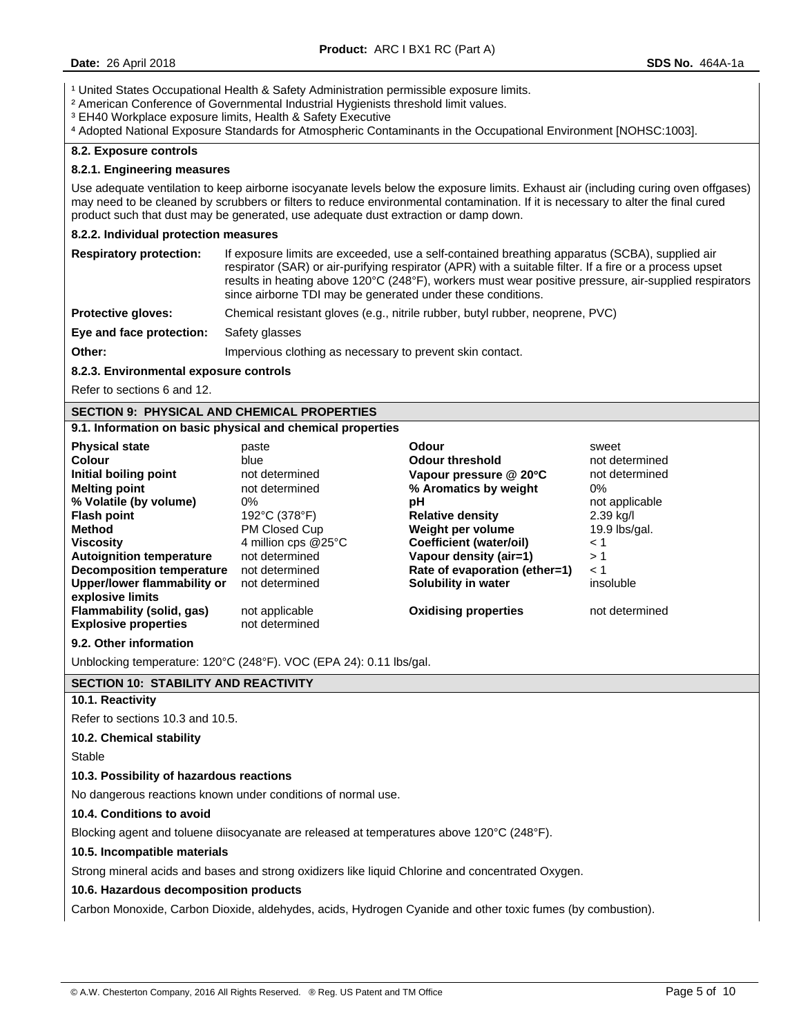<sup>1</sup> United States Occupational Health & Safety Administration permissible exposure limits.

² American Conference of Governmental Industrial Hygienists threshold limit values.

³ EH40 Workplace exposure limits, Health & Safety Executive

⁴ Adopted National Exposure Standards for Atmospheric Contaminants in the Occupational Environment [NOHSC:1003].

## **8.2. Exposure controls**

#### **8.2.1. Engineering measures**

Use adequate ventilation to keep airborne isocyanate levels below the exposure limits. Exhaust air (including curing oven offgases) may need to be cleaned by scrubbers or filters to reduce environmental contamination. If it is necessary to alter the final cured product such that dust may be generated, use adequate dust extraction or damp down.

#### **8.2.2. Individual protection measures**

| <b>Respiratory protection:</b> | If exposure limits are exceeded, use a self-contained breathing apparatus (SCBA), supplied air<br>respirator (SAR) or air-purifying respirator (APR) with a suitable filter. If a fire or a process upset<br>results in heating above 120°C (248°F), workers must wear positive pressure, air-supplied respirators<br>since airborne TDI may be generated under these conditions. |
|--------------------------------|-----------------------------------------------------------------------------------------------------------------------------------------------------------------------------------------------------------------------------------------------------------------------------------------------------------------------------------------------------------------------------------|
| <b>Protective gloves:</b>      | Chemical resistant gloves (e.g., nitrile rubber, butyl rubber, neoprene, PVC)                                                                                                                                                                                                                                                                                                     |
| Eye and face protection:       | Safety glasses                                                                                                                                                                                                                                                                                                                                                                    |
| Other:                         | Impervious clothing as necessary to prevent skin contact.                                                                                                                                                                                                                                                                                                                         |

## **8.2.3. Environmental exposure controls**

Refer to sections 6 and 12.

# **SECTION 9: PHYSICAL AND CHEMICAL PROPERTIES**

## **9.1. Information on basic physical and chemical properties**

| <b>Physical state</b>           | paste                         | Odour                          | sweet           |
|---------------------------------|-------------------------------|--------------------------------|-----------------|
| Colour                          | blue                          | <b>Odour threshold</b>         | not determined  |
| Initial boiling point           | not determined                | Vapour pressure @ 20°C         | not determined  |
| <b>Melting point</b>            | not determined                | % Aromatics by weight          | 0%              |
| % Volatile (by volume)          | 0%                            | рH                             | not applicable  |
| <b>Flash point</b>              | 192°C (378°F)                 | <b>Relative density</b>        | 2.39 kg/l       |
| Method                          | PM Closed Cup                 | Weight per volume              | $19.9$ lbs/gal. |
| <b>Viscosity</b>                | 4 million cps $@25^{\circ}$ C | <b>Coefficient (water/oil)</b> | < 1             |
| <b>Autoignition temperature</b> | not determined                | Vapour density (air=1)         | >1              |
| Decomposition temperature       | not determined                | Rate of evaporation (ether=1)  | $\leq 1$        |
| Upper/lower flammability or     | not determined                | Solubility in water            | insoluble       |
| explosive limits                |                               |                                |                 |
| Flammability (solid, gas)       | not applicable                | <b>Oxidising properties</b>    | not determined  |
| <b>Explosive properties</b>     | not determined                |                                |                 |

#### **9.2. Other information**

Unblocking temperature: 120°C (248°F). VOC (EPA 24): 0.11 lbs/gal.

## **SECTION 10: STABILITY AND REACTIVITY**

## **10.1. Reactivity**

Refer to sections 10.3 and 10.5.

#### **10.2. Chemical stability**

Stable

#### **10.3. Possibility of hazardous reactions**

No dangerous reactions known under conditions of normal use.

# **10.4. Conditions to avoid**

Blocking agent and toluene diisocyanate are released at temperatures above 120°C (248°F).

## **10.5. Incompatible materials**

Strong mineral acids and bases and strong oxidizers like liquid Chlorine and concentrated Oxygen.

## **10.6. Hazardous decomposition products**

Carbon Monoxide, Carbon Dioxide, aldehydes, acids, Hydrogen Cyanide and other toxic fumes (by combustion).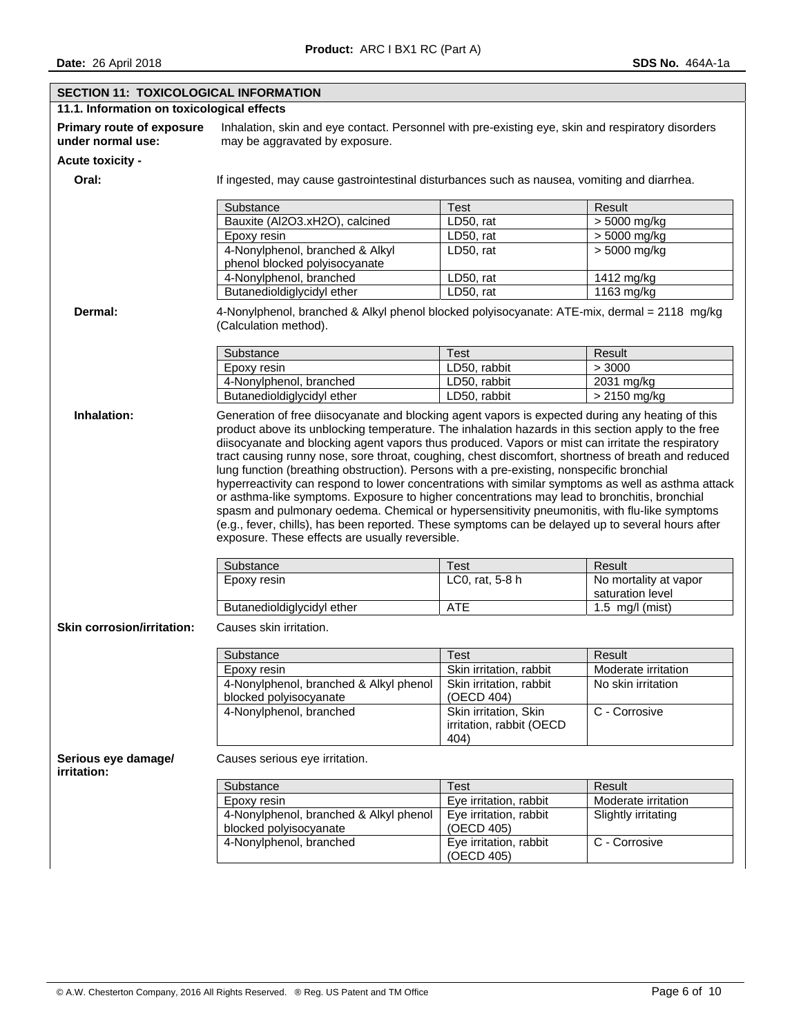| SECTION 11: TOXICOLOGICAL INFORMATION                 |                                                                                                                                                                                                                                                                                                                                                                                                                                                            |                                                                                                   |                                           |  |  |  |  |  |  |
|-------------------------------------------------------|------------------------------------------------------------------------------------------------------------------------------------------------------------------------------------------------------------------------------------------------------------------------------------------------------------------------------------------------------------------------------------------------------------------------------------------------------------|---------------------------------------------------------------------------------------------------|-------------------------------------------|--|--|--|--|--|--|
| 11.1. Information on toxicological effects            |                                                                                                                                                                                                                                                                                                                                                                                                                                                            |                                                                                                   |                                           |  |  |  |  |  |  |
| <b>Primary route of exposure</b><br>under normal use: | may be aggravated by exposure.                                                                                                                                                                                                                                                                                                                                                                                                                             | Inhalation, skin and eye contact. Personnel with pre-existing eye, skin and respiratory disorders |                                           |  |  |  |  |  |  |
| <b>Acute toxicity -</b>                               |                                                                                                                                                                                                                                                                                                                                                                                                                                                            |                                                                                                   |                                           |  |  |  |  |  |  |
| Oral:                                                 | If ingested, may cause gastrointestinal disturbances such as nausea, vomiting and diarrhea.                                                                                                                                                                                                                                                                                                                                                                |                                                                                                   |                                           |  |  |  |  |  |  |
|                                                       | Substance                                                                                                                                                                                                                                                                                                                                                                                                                                                  | <b>Test</b>                                                                                       | Result                                    |  |  |  |  |  |  |
|                                                       | Bauxite (Al2O3.xH2O), calcined                                                                                                                                                                                                                                                                                                                                                                                                                             | LD50, rat                                                                                         | > 5000 mg/kg                              |  |  |  |  |  |  |
|                                                       | Epoxy resin                                                                                                                                                                                                                                                                                                                                                                                                                                                | LD50, rat                                                                                         | > 5000 mg/kg                              |  |  |  |  |  |  |
|                                                       | 4-Nonylphenol, branched & Alkyl<br>phenol blocked polyisocyanate                                                                                                                                                                                                                                                                                                                                                                                           | LD50, rat                                                                                         | $> 5000$ mg/kg                            |  |  |  |  |  |  |
|                                                       | 4-Nonylphenol, branched                                                                                                                                                                                                                                                                                                                                                                                                                                    | LD50, rat                                                                                         | 1412 mg/kg                                |  |  |  |  |  |  |
|                                                       | Butanedioldiglycidyl ether                                                                                                                                                                                                                                                                                                                                                                                                                                 | LD50, rat                                                                                         | 1163 mg/kg                                |  |  |  |  |  |  |
| Dermal:                                               | 4-Nonylphenol, branched & Alkyl phenol blocked polyisocyanate: ATE-mix, dermal = 2118 mg/kg<br>(Calculation method).                                                                                                                                                                                                                                                                                                                                       |                                                                                                   |                                           |  |  |  |  |  |  |
|                                                       | Substance                                                                                                                                                                                                                                                                                                                                                                                                                                                  | <b>Test</b>                                                                                       | Result                                    |  |  |  |  |  |  |
|                                                       | Epoxy resin                                                                                                                                                                                                                                                                                                                                                                                                                                                | LD50, rabbit                                                                                      | > 3000                                    |  |  |  |  |  |  |
|                                                       | 4-Nonylphenol, branched                                                                                                                                                                                                                                                                                                                                                                                                                                    | LD50, rabbit                                                                                      | 2031 mg/kg                                |  |  |  |  |  |  |
|                                                       | Butanedioldiglycidyl ether                                                                                                                                                                                                                                                                                                                                                                                                                                 | LD50, rabbit                                                                                      | $> 2150$ mg/kg                            |  |  |  |  |  |  |
|                                                       | hyperreactivity can respond to lower concentrations with similar symptoms as well as asthma attack<br>or asthma-like symptoms. Exposure to higher concentrations may lead to bronchitis, bronchial<br>spasm and pulmonary oedema. Chemical or hypersensitivity pneumonitis, with flu-like symptoms<br>(e.g., fever, chills), has been reported. These symptoms can be delayed up to several hours after<br>exposure. These effects are usually reversible. |                                                                                                   |                                           |  |  |  |  |  |  |
|                                                       | Substance                                                                                                                                                                                                                                                                                                                                                                                                                                                  | <b>Test</b>                                                                                       | Result                                    |  |  |  |  |  |  |
|                                                       | Epoxy resin                                                                                                                                                                                                                                                                                                                                                                                                                                                | LC0, rat, 5-8 h                                                                                   | No mortality at vapor<br>saturation level |  |  |  |  |  |  |
|                                                       | Butanedioldiglycidyl ether                                                                                                                                                                                                                                                                                                                                                                                                                                 | <b>ATE</b>                                                                                        | $1.5$ mg/l (mist)                         |  |  |  |  |  |  |
| <b>Skin corrosion/irritation:</b>                     | Causes skin irritation.                                                                                                                                                                                                                                                                                                                                                                                                                                    |                                                                                                   |                                           |  |  |  |  |  |  |
|                                                       | Substance                                                                                                                                                                                                                                                                                                                                                                                                                                                  | Test                                                                                              | Result                                    |  |  |  |  |  |  |
|                                                       | Epoxy resin                                                                                                                                                                                                                                                                                                                                                                                                                                                | Skin irritation, rabbit                                                                           | Moderate irritation                       |  |  |  |  |  |  |
|                                                       | 4-Nonylphenol, branched & Alkyl phenol<br>No skin irritation<br>Skin irritation, rabbit<br>blocked polyisocyanate<br>(OECD 404)                                                                                                                                                                                                                                                                                                                            |                                                                                                   |                                           |  |  |  |  |  |  |
|                                                       | 4-Nonylphenol, branched                                                                                                                                                                                                                                                                                                                                                                                                                                    | Skin irritation, Skin<br>irritation, rabbit (OECD<br>404)                                         | C - Corrosive                             |  |  |  |  |  |  |
| Serious eye damage/<br>irritation:                    | Causes serious eye irritation.                                                                                                                                                                                                                                                                                                                                                                                                                             |                                                                                                   |                                           |  |  |  |  |  |  |
|                                                       | Substance                                                                                                                                                                                                                                                                                                                                                                                                                                                  | <b>Test</b>                                                                                       | Result                                    |  |  |  |  |  |  |
|                                                       | Epoxy resin                                                                                                                                                                                                                                                                                                                                                                                                                                                | Eye irritation, rabbit                                                                            | Moderate irritation                       |  |  |  |  |  |  |
|                                                       | 4-Nonylphenol, branched & Alkyl phenol<br>blocked polyisocyanate                                                                                                                                                                                                                                                                                                                                                                                           | Eye irritation, rabbit<br>(OECD 405)                                                              | Slightly irritating                       |  |  |  |  |  |  |
|                                                       | 4-Nonylphenol, branched                                                                                                                                                                                                                                                                                                                                                                                                                                    | Eye irritation, rabbit                                                                            | C - Corrosive                             |  |  |  |  |  |  |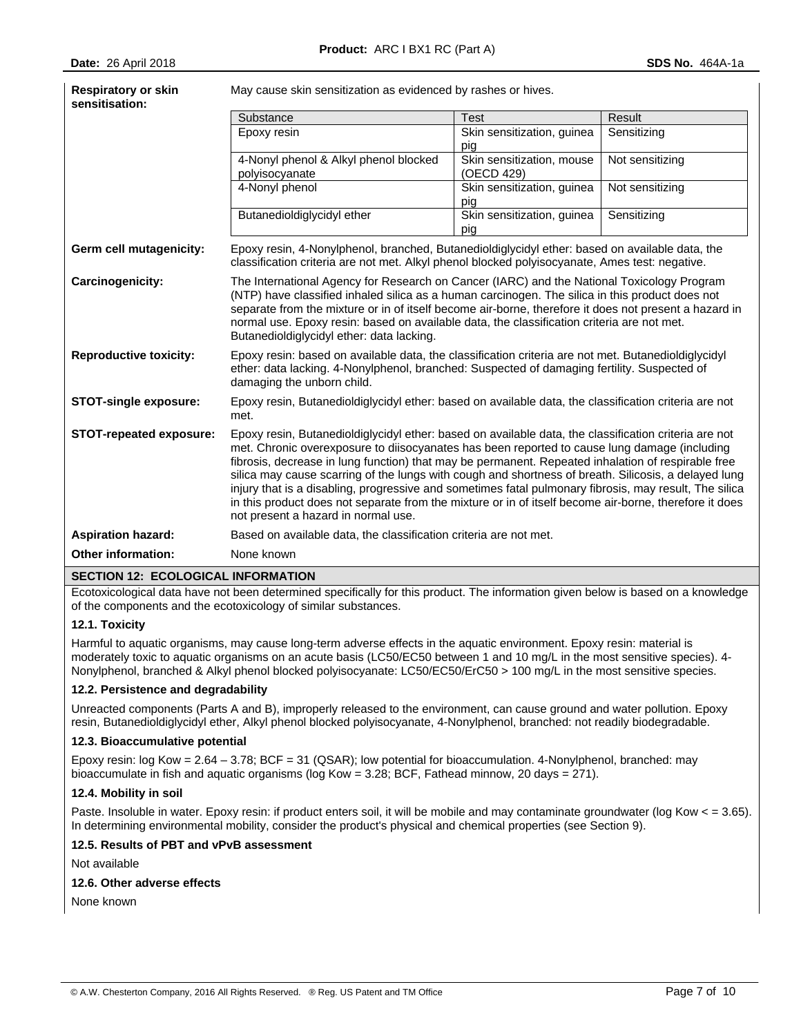| May cause skin sensitization as evidenced by rashes or hives.<br><b>Respiratory or skin</b><br>sensitisation: |                                                                                                                                                                                                                                                                                                                                                                                                                                                                                                                                                                                                                                                                                |                                         |                 |  |  |  |
|---------------------------------------------------------------------------------------------------------------|--------------------------------------------------------------------------------------------------------------------------------------------------------------------------------------------------------------------------------------------------------------------------------------------------------------------------------------------------------------------------------------------------------------------------------------------------------------------------------------------------------------------------------------------------------------------------------------------------------------------------------------------------------------------------------|-----------------------------------------|-----------------|--|--|--|
|                                                                                                               | Substance                                                                                                                                                                                                                                                                                                                                                                                                                                                                                                                                                                                                                                                                      | <b>Test</b>                             | Result          |  |  |  |
|                                                                                                               | Epoxy resin                                                                                                                                                                                                                                                                                                                                                                                                                                                                                                                                                                                                                                                                    | Skin sensitization, guinea<br>pig       | Sensitizing     |  |  |  |
|                                                                                                               | 4-Nonyl phenol & Alkyl phenol blocked<br>polyisocyanate                                                                                                                                                                                                                                                                                                                                                                                                                                                                                                                                                                                                                        | Skin sensitization, mouse<br>(OECD 429) | Not sensitizing |  |  |  |
|                                                                                                               | 4-Nonyl phenol                                                                                                                                                                                                                                                                                                                                                                                                                                                                                                                                                                                                                                                                 | Skin sensitization, guinea<br>pig       | Not sensitizing |  |  |  |
|                                                                                                               | Butanedioldiglycidyl ether                                                                                                                                                                                                                                                                                                                                                                                                                                                                                                                                                                                                                                                     | Skin sensitization, guinea<br>pig       | Sensitizing     |  |  |  |
| Germ cell mutagenicity:                                                                                       | Epoxy resin, 4-Nonylphenol, branched, Butanedioldiglycidyl ether: based on available data, the<br>classification criteria are not met. Alkyl phenol blocked polyisocyanate, Ames test: negative.                                                                                                                                                                                                                                                                                                                                                                                                                                                                               |                                         |                 |  |  |  |
| Carcinogenicity:                                                                                              | The International Agency for Research on Cancer (IARC) and the National Toxicology Program<br>(NTP) have classified inhaled silica as a human carcinogen. The silica in this product does not<br>separate from the mixture or in of itself become air-borne, therefore it does not present a hazard in<br>normal use. Epoxy resin: based on available data, the classification criteria are not met.<br>Butanedioldiglycidyl ether: data lacking.                                                                                                                                                                                                                              |                                         |                 |  |  |  |
| <b>Reproductive toxicity:</b>                                                                                 | Epoxy resin: based on available data, the classification criteria are not met. Butanedioldiglycidyl<br>ether: data lacking. 4-Nonylphenol, branched: Suspected of damaging fertility. Suspected of<br>damaging the unborn child.                                                                                                                                                                                                                                                                                                                                                                                                                                               |                                         |                 |  |  |  |
| <b>STOT-single exposure:</b>                                                                                  | Epoxy resin, Butanedioldiglycidyl ether: based on available data, the classification criteria are not<br>met.                                                                                                                                                                                                                                                                                                                                                                                                                                                                                                                                                                  |                                         |                 |  |  |  |
| <b>STOT-repeated exposure:</b>                                                                                | Epoxy resin, Butanedioldiglycidyl ether: based on available data, the classification criteria are not<br>met. Chronic overexposure to diisocyanates has been reported to cause lung damage (including<br>fibrosis, decrease in lung function) that may be permanent. Repeated inhalation of respirable free<br>silica may cause scarring of the lungs with cough and shortness of breath. Silicosis, a delayed lung<br>injury that is a disabling, progressive and sometimes fatal pulmonary fibrosis, may result, The silica<br>in this product does not separate from the mixture or in of itself become air-borne, therefore it does<br>not present a hazard in normal use. |                                         |                 |  |  |  |
| <b>Aspiration hazard:</b>                                                                                     | Based on available data, the classification criteria are not met.                                                                                                                                                                                                                                                                                                                                                                                                                                                                                                                                                                                                              |                                         |                 |  |  |  |
| <b>Other information:</b>                                                                                     | None known                                                                                                                                                                                                                                                                                                                                                                                                                                                                                                                                                                                                                                                                     |                                         |                 |  |  |  |

## **SECTION 12: ECOLOGICAL INFORMATION**

Ecotoxicological data have not been determined specifically for this product. The information given below is based on a knowledge of the components and the ecotoxicology of similar substances.

## **12.1. Toxicity**

Harmful to aquatic organisms, may cause long-term adverse effects in the aquatic environment. Epoxy resin: material is moderately toxic to aquatic organisms on an acute basis (LC50/EC50 between 1 and 10 mg/L in the most sensitive species). 4- Nonylphenol, branched & Alkyl phenol blocked polyisocyanate: LC50/EC50/ErC50 > 100 mg/L in the most sensitive species.

#### **12.2. Persistence and degradability**

Unreacted components (Parts A and B), improperly released to the environment, can cause ground and water pollution. Epoxy resin, Butanedioldiglycidyl ether, Alkyl phenol blocked polyisocyanate, 4-Nonylphenol, branched: not readily biodegradable.

#### **12.3. Bioaccumulative potential**

Epoxy resin: log Kow = 2.64 – 3.78; BCF = 31 (QSAR); low potential for bioaccumulation. 4-Nonylphenol, branched: may bioaccumulate in fish and aquatic organisms (log Kow = 3.28; BCF, Fathead minnow, 20 days = 271).

#### **12.4. Mobility in soil**

Paste. Insoluble in water. Epoxy resin: if product enters soil, it will be mobile and may contaminate groundwater (log Kow < = 3.65). In determining environmental mobility, consider the product's physical and chemical properties (see Section 9).

#### **12.5. Results of PBT and vPvB assessment**

Not available

#### **12.6. Other adverse effects**

None known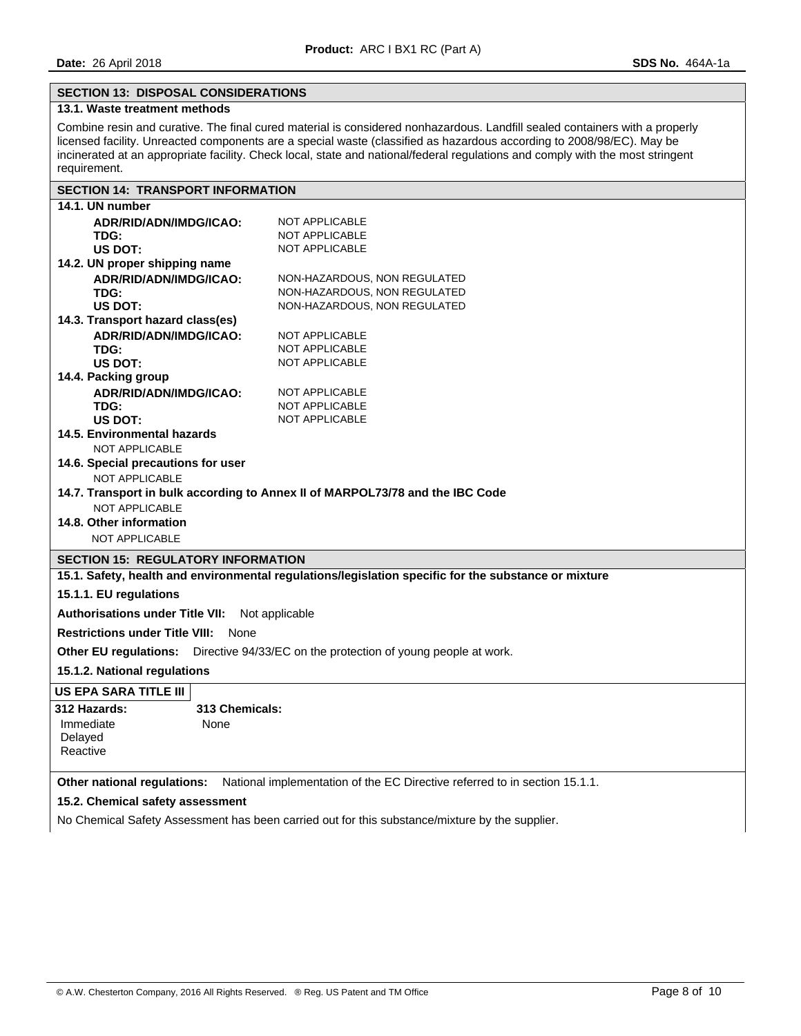## **SECTION 13: DISPOSAL CONSIDERATIONS**

# **13.1. Waste treatment methods**

Combine resin and curative. The final cured material is considered nonhazardous. Landfill sealed containers with a properly licensed facility. Unreacted components are a special waste (classified as hazardous according to 2008/98/EC). May be incinerated at an appropriate facility. Check local, state and national/federal regulations and comply with the most stringent requirement.

# **SECTION 14: TRANSPORT INFORMATION**

| 14.1. UN number                               |                                                                                                        |
|-----------------------------------------------|--------------------------------------------------------------------------------------------------------|
| ADR/RID/ADN/IMDG/ICAO:                        | <b>NOT APPLICABLE</b>                                                                                  |
| TDG:                                          | <b>NOT APPLICABLE</b>                                                                                  |
| US DOT:                                       | <b>NOT APPLICABLE</b>                                                                                  |
| 14.2. UN proper shipping name                 |                                                                                                        |
| ADR/RID/ADN/IMDG/ICAO:                        | NON-HAZARDOUS, NON REGULATED                                                                           |
| TDG:                                          | NON-HAZARDOUS, NON REGULATED                                                                           |
| US DOT:                                       | NON-HAZARDOUS, NON REGULATED                                                                           |
| 14.3. Transport hazard class(es)              |                                                                                                        |
| ADR/RID/ADN/IMDG/ICAO:                        | <b>NOT APPLICABLE</b>                                                                                  |
| TDG:                                          | <b>NOT APPLICABLE</b>                                                                                  |
| US DOT:                                       | <b>NOT APPLICABLE</b>                                                                                  |
| 14.4. Packing group                           |                                                                                                        |
| ADR/RID/ADN/IMDG/ICAO:                        | <b>NOT APPLICABLE</b>                                                                                  |
| TDG:                                          | <b>NOT APPLICABLE</b>                                                                                  |
| US DOT:                                       | NOT APPLICABLE                                                                                         |
| 14.5. Environmental hazards                   |                                                                                                        |
| NOT APPLICABLE                                |                                                                                                        |
| 14.6. Special precautions for user            |                                                                                                        |
| NOT APPLICABLE                                |                                                                                                        |
|                                               | 14.7. Transport in bulk according to Annex II of MARPOL73/78 and the IBC Code                          |
| <b>NOT APPLICABLE</b>                         |                                                                                                        |
| 14.8. Other information                       |                                                                                                        |
| <b>NOT APPLICABLE</b>                         |                                                                                                        |
| <b>SECTION 15: REGULATORY INFORMATION</b>     |                                                                                                        |
|                                               | 15.1. Safety, health and environmental regulations/legislation specific for the substance or mixture   |
| 15.1.1. EU regulations                        |                                                                                                        |
| <b>Authorisations under Title VII:</b>        | Not applicable                                                                                         |
| <b>Restrictions under Title VIII:</b><br>None |                                                                                                        |
|                                               | Other EU regulations: Directive 94/33/EC on the protection of young people at work.                    |
| 15.1.2. National regulations                  |                                                                                                        |
| US EPA SARA TITLE III                         |                                                                                                        |
| 312 Hazards:<br>313 Chemicals:                |                                                                                                        |
| Immediate<br>None                             |                                                                                                        |
| Delayed                                       |                                                                                                        |
| Reactive                                      |                                                                                                        |
|                                               |                                                                                                        |
|                                               | Other national regulations: National implementation of the EC Directive referred to in section 15.1.1. |
| 15.2. Chemical safety assessment              |                                                                                                        |
|                                               | No Chemical Safety Assessment has been carried out for this substance/mixture by the supplier.         |
|                                               |                                                                                                        |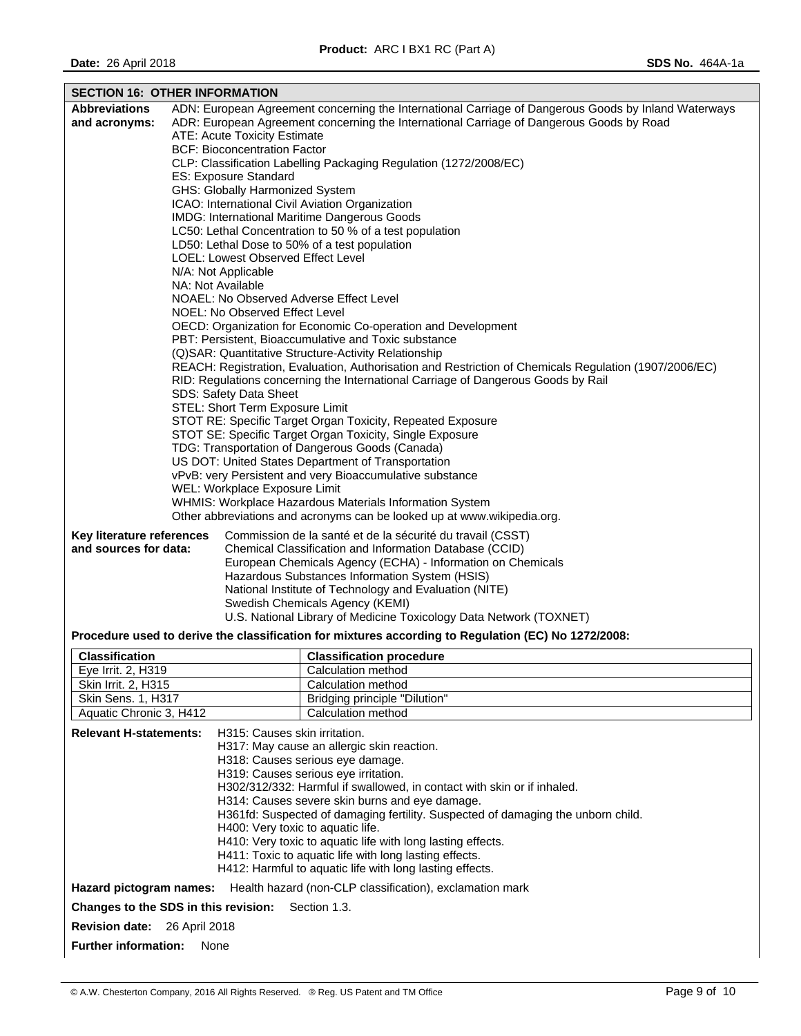| <b>SECTION 16: OTHER INFORMATION</b>                   |                                                                |                                           |                                                                                                                        |  |  |  |
|--------------------------------------------------------|----------------------------------------------------------------|-------------------------------------------|------------------------------------------------------------------------------------------------------------------------|--|--|--|
| <b>Abbreviations</b>                                   |                                                                |                                           | ADN: European Agreement concerning the International Carriage of Dangerous Goods by Inland Waterways                   |  |  |  |
| and acronyms:                                          |                                                                |                                           | ADR: European Agreement concerning the International Carriage of Dangerous Goods by Road                               |  |  |  |
|                                                        |                                                                | ATE: Acute Toxicity Estimate              |                                                                                                                        |  |  |  |
|                                                        |                                                                | <b>BCF: Bioconcentration Factor</b>       |                                                                                                                        |  |  |  |
|                                                        |                                                                |                                           |                                                                                                                        |  |  |  |
|                                                        |                                                                |                                           | CLP: Classification Labelling Packaging Regulation (1272/2008/EC)                                                      |  |  |  |
|                                                        |                                                                | <b>ES: Exposure Standard</b>              |                                                                                                                        |  |  |  |
|                                                        |                                                                | GHS: Globally Harmonized System           |                                                                                                                        |  |  |  |
|                                                        |                                                                |                                           | ICAO: International Civil Aviation Organization                                                                        |  |  |  |
|                                                        |                                                                |                                           | IMDG: International Maritime Dangerous Goods                                                                           |  |  |  |
|                                                        |                                                                |                                           | LC50: Lethal Concentration to 50 % of a test population                                                                |  |  |  |
|                                                        |                                                                |                                           | LD50: Lethal Dose to 50% of a test population                                                                          |  |  |  |
|                                                        |                                                                | <b>LOEL: Lowest Observed Effect Level</b> |                                                                                                                        |  |  |  |
|                                                        |                                                                | N/A: Not Applicable                       |                                                                                                                        |  |  |  |
|                                                        |                                                                | NA: Not Available                         |                                                                                                                        |  |  |  |
|                                                        |                                                                |                                           | NOAEL: No Observed Adverse Effect Level                                                                                |  |  |  |
|                                                        |                                                                | NOEL: No Observed Effect Level            |                                                                                                                        |  |  |  |
|                                                        |                                                                |                                           | OECD: Organization for Economic Co-operation and Development                                                           |  |  |  |
|                                                        |                                                                |                                           | PBT: Persistent, Bioaccumulative and Toxic substance                                                                   |  |  |  |
|                                                        |                                                                |                                           | (Q) SAR: Quantitative Structure-Activity Relationship                                                                  |  |  |  |
|                                                        |                                                                |                                           | REACH: Registration, Evaluation, Authorisation and Restriction of Chemicals Regulation (1907/2006/EC)                  |  |  |  |
|                                                        |                                                                |                                           | RID: Regulations concerning the International Carriage of Dangerous Goods by Rail                                      |  |  |  |
|                                                        |                                                                |                                           |                                                                                                                        |  |  |  |
|                                                        |                                                                | SDS: Safety Data Sheet                    |                                                                                                                        |  |  |  |
|                                                        |                                                                | STEL: Short Term Exposure Limit           |                                                                                                                        |  |  |  |
|                                                        |                                                                |                                           | STOT RE: Specific Target Organ Toxicity, Repeated Exposure                                                             |  |  |  |
|                                                        |                                                                |                                           | STOT SE: Specific Target Organ Toxicity, Single Exposure                                                               |  |  |  |
|                                                        |                                                                |                                           | TDG: Transportation of Dangerous Goods (Canada)                                                                        |  |  |  |
|                                                        |                                                                |                                           | US DOT: United States Department of Transportation                                                                     |  |  |  |
|                                                        |                                                                |                                           | vPvB: very Persistent and very Bioaccumulative substance                                                               |  |  |  |
|                                                        |                                                                | WEL: Workplace Exposure Limit             |                                                                                                                        |  |  |  |
|                                                        |                                                                |                                           | WHMIS: Workplace Hazardous Materials Information System                                                                |  |  |  |
|                                                        |                                                                |                                           | Other abbreviations and acronyms can be looked up at www.wikipedia.org.                                                |  |  |  |
| Key literature references                              |                                                                |                                           |                                                                                                                        |  |  |  |
|                                                        |                                                                |                                           | Commission de la santé et de la sécurité du travail (CSST)                                                             |  |  |  |
| and sources for data:                                  |                                                                |                                           | Chemical Classification and Information Database (CCID)<br>European Chemicals Agency (ECHA) - Information on Chemicals |  |  |  |
|                                                        |                                                                |                                           |                                                                                                                        |  |  |  |
|                                                        |                                                                |                                           | Hazardous Substances Information System (HSIS)                                                                         |  |  |  |
|                                                        |                                                                |                                           | National Institute of Technology and Evaluation (NITE)                                                                 |  |  |  |
|                                                        |                                                                |                                           | Swedish Chemicals Agency (KEMI)                                                                                        |  |  |  |
|                                                        |                                                                |                                           | U.S. National Library of Medicine Toxicology Data Network (TOXNET)                                                     |  |  |  |
|                                                        |                                                                |                                           | Procedure used to derive the classification for mixtures according to Regulation (EC) No 1272/2008:                    |  |  |  |
| <b>Classification</b>                                  |                                                                |                                           |                                                                                                                        |  |  |  |
|                                                        |                                                                |                                           | <b>Classification procedure</b>                                                                                        |  |  |  |
| Eye Irrit. 2, H319                                     |                                                                |                                           | Calculation method                                                                                                     |  |  |  |
| Skin Irrit. 2, H315                                    |                                                                |                                           | Calculation method                                                                                                     |  |  |  |
| Skin Sens. 1, H317                                     |                                                                |                                           | Bridging principle "Dilution"                                                                                          |  |  |  |
| Aquatic Chronic 3, H412<br><b>Calculation method</b>   |                                                                |                                           |                                                                                                                        |  |  |  |
|                                                        | <b>Relevant H-statements:</b><br>H315: Causes skin irritation. |                                           |                                                                                                                        |  |  |  |
| H317: May cause an allergic skin reaction.             |                                                                |                                           |                                                                                                                        |  |  |  |
|                                                        |                                                                |                                           | H318: Causes serious eye damage.                                                                                       |  |  |  |
| H319: Causes serious eye irritation.                   |                                                                |                                           |                                                                                                                        |  |  |  |
|                                                        |                                                                |                                           | H302/312/332: Harmful if swallowed, in contact with skin or if inhaled.                                                |  |  |  |
|                                                        |                                                                |                                           | H314: Causes severe skin burns and eye damage.                                                                         |  |  |  |
|                                                        |                                                                |                                           | H361fd: Suspected of damaging fertility. Suspected of damaging the unborn child.                                       |  |  |  |
|                                                        |                                                                | H400: Very toxic to aquatic life.         |                                                                                                                        |  |  |  |
|                                                        |                                                                |                                           |                                                                                                                        |  |  |  |
|                                                        |                                                                |                                           | H410: Very toxic to aquatic life with long lasting effects.                                                            |  |  |  |
| H411: Toxic to aquatic life with long lasting effects. |                                                                |                                           |                                                                                                                        |  |  |  |

H412: Harmful to aquatic life with long lasting effects.

**Hazard pictogram names:** Health hazard (non-CLP classification), exclamation mark

**Changes to the SDS in this revision:** Section 1.3.

**Revision date:** 26 April 2018

**Further information:** None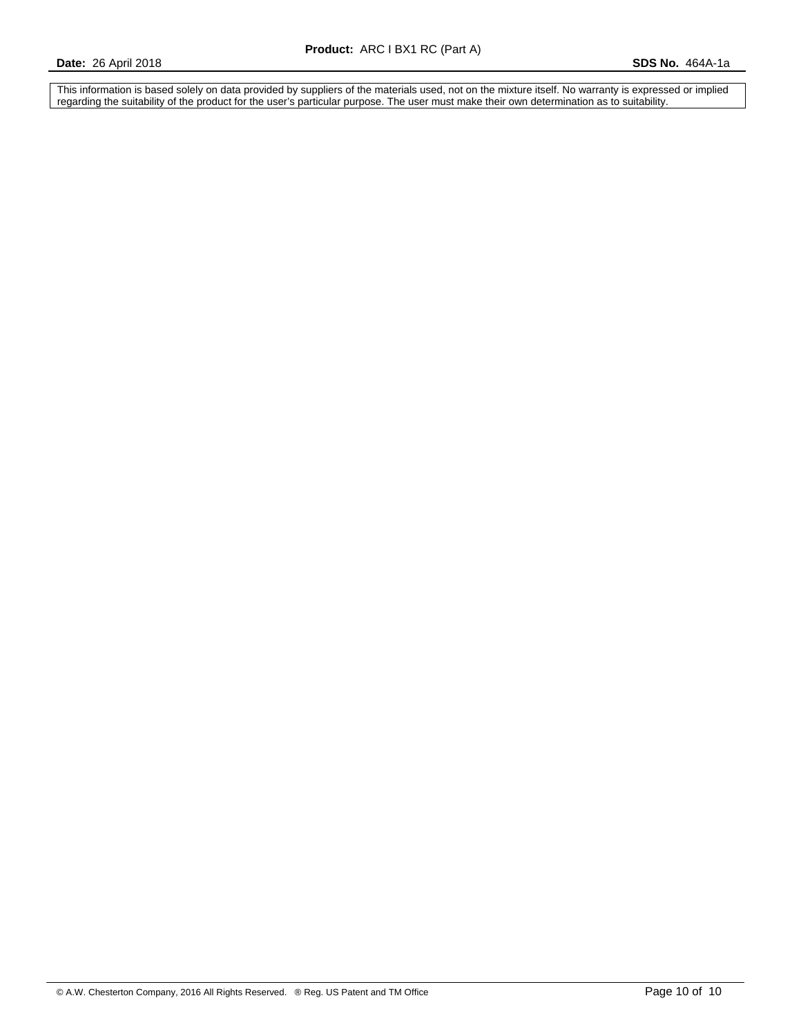This information is based solely on data provided by suppliers of the materials used, not on the mixture itself. No warranty is expressed or implied regarding the suitability of the product for the user's particular purpose. The user must make their own determination as to suitability.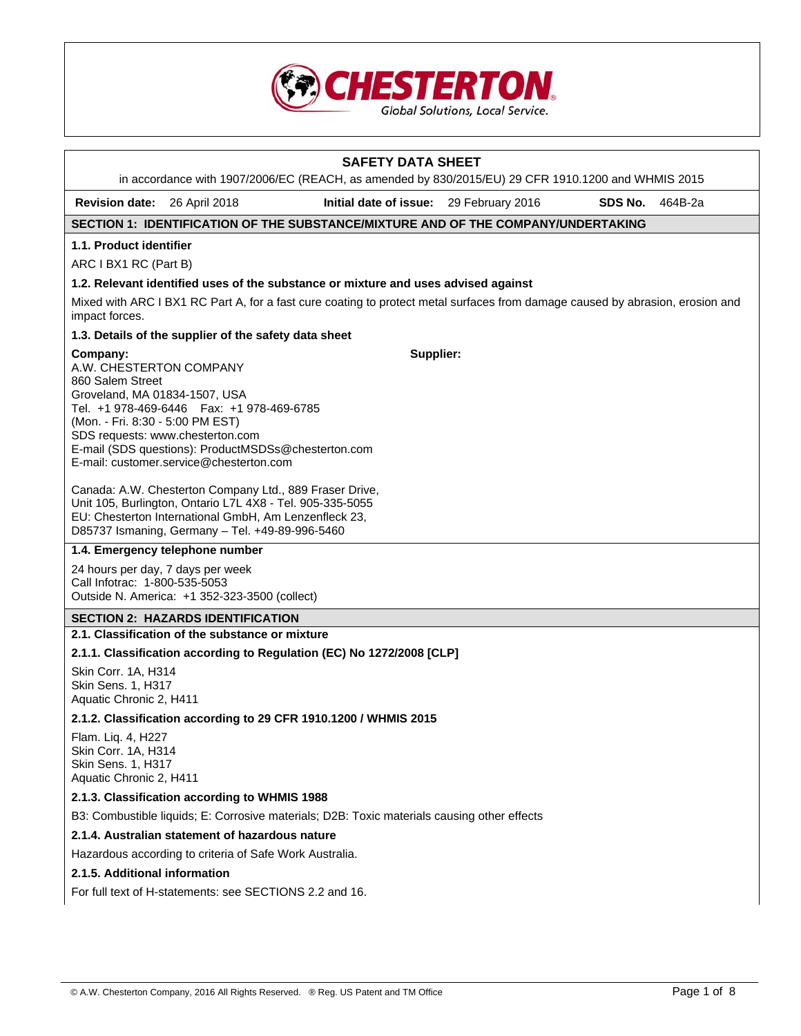

| <b>SAFETY DATA SHEET</b>                                                                                                                                                                                                              |                                                                                                                                                                                                                                                                                                                                                                                    |           |  |         |  |  |  |  |  |  |
|---------------------------------------------------------------------------------------------------------------------------------------------------------------------------------------------------------------------------------------|------------------------------------------------------------------------------------------------------------------------------------------------------------------------------------------------------------------------------------------------------------------------------------------------------------------------------------------------------------------------------------|-----------|--|---------|--|--|--|--|--|--|
|                                                                                                                                                                                                                                       | in accordance with 1907/2006/EC (REACH, as amended by 830/2015/EU) 29 CFR 1910.1200 and WHMIS 2015<br>Initial date of issue: 29 February 2016<br>464B-2a                                                                                                                                                                                                                           |           |  |         |  |  |  |  |  |  |
| <b>Revision date:</b>                                                                                                                                                                                                                 | 26 April 2018                                                                                                                                                                                                                                                                                                                                                                      |           |  | SDS No. |  |  |  |  |  |  |
|                                                                                                                                                                                                                                       | SECTION 1: IDENTIFICATION OF THE SUBSTANCE/MIXTURE AND OF THE COMPANY/UNDERTAKING                                                                                                                                                                                                                                                                                                  |           |  |         |  |  |  |  |  |  |
| 1.1. Product identifier                                                                                                                                                                                                               |                                                                                                                                                                                                                                                                                                                                                                                    |           |  |         |  |  |  |  |  |  |
| ARC I BX1 RC (Part B)                                                                                                                                                                                                                 |                                                                                                                                                                                                                                                                                                                                                                                    |           |  |         |  |  |  |  |  |  |
| 1.2. Relevant identified uses of the substance or mixture and uses advised against<br>Mixed with ARC I BX1 RC Part A, for a fast cure coating to protect metal surfaces from damage caused by abrasion, erosion and<br>impact forces. |                                                                                                                                                                                                                                                                                                                                                                                    |           |  |         |  |  |  |  |  |  |
|                                                                                                                                                                                                                                       | 1.3. Details of the supplier of the safety data sheet                                                                                                                                                                                                                                                                                                                              |           |  |         |  |  |  |  |  |  |
| Company:<br>A.W. CHESTERTON COMPANY<br>860 Salem Street<br>Groveland, MA 01834-1507, USA<br>(Mon. - Fri. 8:30 - 5:00 PM EST)<br>SDS requests: www.chesterton.com                                                                      | Tel. +1 978-469-6446    Fax: +1 978-469-6785<br>E-mail (SDS questions): ProductMSDSs@chesterton.com<br>E-mail: customer.service@chesterton.com<br>Canada: A.W. Chesterton Company Ltd., 889 Fraser Drive,<br>Unit 105, Burlington, Ontario L7L 4X8 - Tel. 905-335-5055<br>EU: Chesterton International GmbH, Am Lenzenfleck 23,<br>D85737 Ismaning, Germany - Tel. +49-89-996-5460 | Supplier: |  |         |  |  |  |  |  |  |
|                                                                                                                                                                                                                                       | 1.4. Emergency telephone number                                                                                                                                                                                                                                                                                                                                                    |           |  |         |  |  |  |  |  |  |
| 24 hours per day, 7 days per week<br>Call Infotrac: 1-800-535-5053                                                                                                                                                                    | Outside N. America: +1 352-323-3500 (collect)                                                                                                                                                                                                                                                                                                                                      |           |  |         |  |  |  |  |  |  |
|                                                                                                                                                                                                                                       | <b>SECTION 2: HAZARDS IDENTIFICATION</b>                                                                                                                                                                                                                                                                                                                                           |           |  |         |  |  |  |  |  |  |
|                                                                                                                                                                                                                                       | 2.1. Classification of the substance or mixture                                                                                                                                                                                                                                                                                                                                    |           |  |         |  |  |  |  |  |  |
|                                                                                                                                                                                                                                       | 2.1.1. Classification according to Regulation (EC) No 1272/2008 [CLP]                                                                                                                                                                                                                                                                                                              |           |  |         |  |  |  |  |  |  |
| Skin Corr. 1A, H314<br>Skin Sens. 1, H317<br>Aquatic Chronic 2, H411                                                                                                                                                                  |                                                                                                                                                                                                                                                                                                                                                                                    |           |  |         |  |  |  |  |  |  |
|                                                                                                                                                                                                                                       | 2.1.2. Classification according to 29 CFR 1910.1200 / WHMIS 2015                                                                                                                                                                                                                                                                                                                   |           |  |         |  |  |  |  |  |  |
| Flam. Liq. 4, H227<br>Skin Corr. 1A, H314<br>Skin Sens. 1, H317<br>Aquatic Chronic 2, H411                                                                                                                                            |                                                                                                                                                                                                                                                                                                                                                                                    |           |  |         |  |  |  |  |  |  |
|                                                                                                                                                                                                                                       | 2.1.3. Classification according to WHMIS 1988                                                                                                                                                                                                                                                                                                                                      |           |  |         |  |  |  |  |  |  |
|                                                                                                                                                                                                                                       | B3: Combustible liquids; E: Corrosive materials; D2B: Toxic materials causing other effects                                                                                                                                                                                                                                                                                        |           |  |         |  |  |  |  |  |  |
|                                                                                                                                                                                                                                       | 2.1.4. Australian statement of hazardous nature                                                                                                                                                                                                                                                                                                                                    |           |  |         |  |  |  |  |  |  |
|                                                                                                                                                                                                                                       | Hazardous according to criteria of Safe Work Australia.                                                                                                                                                                                                                                                                                                                            |           |  |         |  |  |  |  |  |  |
| 2.1.5. Additional information                                                                                                                                                                                                         |                                                                                                                                                                                                                                                                                                                                                                                    |           |  |         |  |  |  |  |  |  |
|                                                                                                                                                                                                                                       | For full text of H-statements: see SECTIONS 2.2 and 16.                                                                                                                                                                                                                                                                                                                            |           |  |         |  |  |  |  |  |  |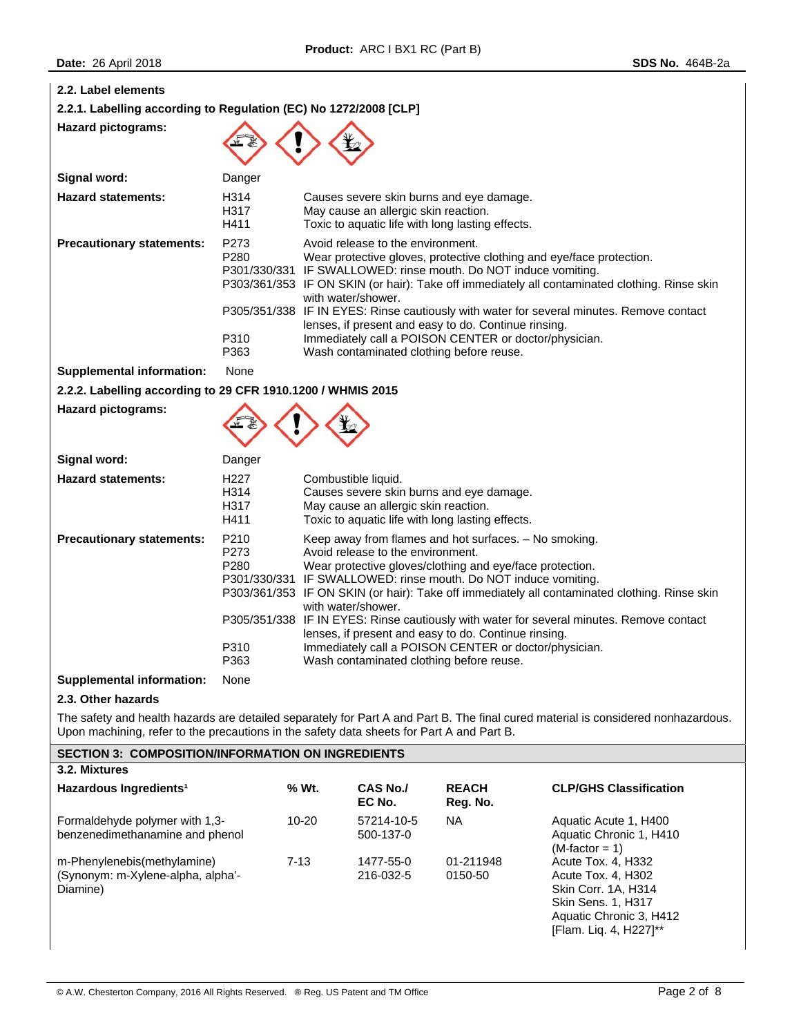| 2.2. Label elements<br>2.2.1. Labelling according to Regulation (EC) No 1272/2008 [CLP]                                                                                                                                        |                                          |                                                                                                                                                                                                                                                                                                                                                                                                                                                                                                                                                                                                           |  |  |  |
|--------------------------------------------------------------------------------------------------------------------------------------------------------------------------------------------------------------------------------|------------------------------------------|-----------------------------------------------------------------------------------------------------------------------------------------------------------------------------------------------------------------------------------------------------------------------------------------------------------------------------------------------------------------------------------------------------------------------------------------------------------------------------------------------------------------------------------------------------------------------------------------------------------|--|--|--|
| <b>Hazard pictograms:</b>                                                                                                                                                                                                      |                                          |                                                                                                                                                                                                                                                                                                                                                                                                                                                                                                                                                                                                           |  |  |  |
| Signal word:                                                                                                                                                                                                                   | Danger                                   |                                                                                                                                                                                                                                                                                                                                                                                                                                                                                                                                                                                                           |  |  |  |
| <b>Hazard statements:</b>                                                                                                                                                                                                      | H314<br>H317<br>H411                     | Causes severe skin burns and eye damage.<br>May cause an allergic skin reaction.<br>Toxic to aquatic life with long lasting effects.                                                                                                                                                                                                                                                                                                                                                                                                                                                                      |  |  |  |
| <b>Precautionary statements:</b>                                                                                                                                                                                               | P273<br>P280<br>P310<br>P363             | Avoid release to the environment.<br>Wear protective gloves, protective clothing and eye/face protection.<br>P301/330/331 IF SWALLOWED: rinse mouth. Do NOT induce vomiting.<br>P303/361/353 IF ON SKIN (or hair): Take off immediately all contaminated clothing. Rinse skin<br>with water/shower.<br>P305/351/338 IF IN EYES: Rinse cautiously with water for several minutes. Remove contact<br>lenses, if present and easy to do. Continue rinsing.<br>Immediately call a POISON CENTER or doctor/physician.<br>Wash contaminated clothing before reuse.                                              |  |  |  |
| <b>Supplemental information:</b>                                                                                                                                                                                               | None                                     |                                                                                                                                                                                                                                                                                                                                                                                                                                                                                                                                                                                                           |  |  |  |
| 2.2.2. Labelling according to 29 CFR 1910.1200 / WHMIS 2015                                                                                                                                                                    |                                          |                                                                                                                                                                                                                                                                                                                                                                                                                                                                                                                                                                                                           |  |  |  |
| <b>Hazard pictograms:</b>                                                                                                                                                                                                      |                                          |                                                                                                                                                                                                                                                                                                                                                                                                                                                                                                                                                                                                           |  |  |  |
| Signal word:                                                                                                                                                                                                                   | Danger                                   |                                                                                                                                                                                                                                                                                                                                                                                                                                                                                                                                                                                                           |  |  |  |
| <b>Hazard statements:</b>                                                                                                                                                                                                      | H <sub>227</sub><br>H314<br>H317<br>H411 | Combustible liquid.<br>Causes severe skin burns and eye damage.<br>May cause an allergic skin reaction.<br>Toxic to aquatic life with long lasting effects.                                                                                                                                                                                                                                                                                                                                                                                                                                               |  |  |  |
| <b>Precautionary statements:</b>                                                                                                                                                                                               | P210<br>P273<br>P280<br>P310<br>P363     | Keep away from flames and hot surfaces. - No smoking.<br>Avoid release to the environment.<br>Wear protective gloves/clothing and eye/face protection.<br>P301/330/331 IF SWALLOWED: rinse mouth. Do NOT induce vomiting.<br>P303/361/353 IF ON SKIN (or hair): Take off immediately all contaminated clothing. Rinse skin<br>with water/shower.<br>P305/351/338 IF IN EYES: Rinse cautiously with water for several minutes. Remove contact<br>lenses, if present and easy to do. Continue rinsing.<br>Immediately call a POISON CENTER or doctor/physician.<br>Wash contaminated clothing before reuse. |  |  |  |
| <b>Supplemental information:</b>                                                                                                                                                                                               | None                                     |                                                                                                                                                                                                                                                                                                                                                                                                                                                                                                                                                                                                           |  |  |  |
| 2.3. Other hazards                                                                                                                                                                                                             |                                          |                                                                                                                                                                                                                                                                                                                                                                                                                                                                                                                                                                                                           |  |  |  |
| The safety and health hazards are detailed separately for Part A and Part B. The final cured material is considered nonhazardous.<br>Upon machining, refer to the precautions in the safety data sheets for Part A and Part B. |                                          |                                                                                                                                                                                                                                                                                                                                                                                                                                                                                                                                                                                                           |  |  |  |
| <b>SECTION 3: COMPOSITION/INFORMATION ON INGREDIENTS</b>                                                                                                                                                                       |                                          |                                                                                                                                                                                                                                                                                                                                                                                                                                                                                                                                                                                                           |  |  |  |
| 3.2. Mixtures                                                                                                                                                                                                                  |                                          |                                                                                                                                                                                                                                                                                                                                                                                                                                                                                                                                                                                                           |  |  |  |

| Hazardous Ingredients <sup>1</sup>                                           | % Wt.  | <b>CAS No./</b><br>EC No. | <b>REACH</b><br>Reg. No. | <b>CLP/GHS Classification</b>                                                                                                                     |
|------------------------------------------------------------------------------|--------|---------------------------|--------------------------|---------------------------------------------------------------------------------------------------------------------------------------------------|
| Formaldehyde polymer with 1,3-<br>benzenedimethanamine and phenol            | 10-20  | 57214-10-5<br>500-137-0   | NA                       | Aquatic Acute 1, H400<br>Aquatic Chronic 1, H410<br>$(M-factor = 1)$                                                                              |
| m-Phenylenebis(methylamine)<br>(Synonym: m-Xylene-alpha, alpha'-<br>Diamine) | $7-13$ | 1477-55-0<br>216-032-5    | 01-211948<br>0150-50     | Acute Tox. 4, H332<br>Acute Tox, 4, H302<br>Skin Corr. 1A. H314<br><b>Skin Sens. 1, H317</b><br>Aquatic Chronic 3, H412<br>[Flam. Lig. 4, H227]** |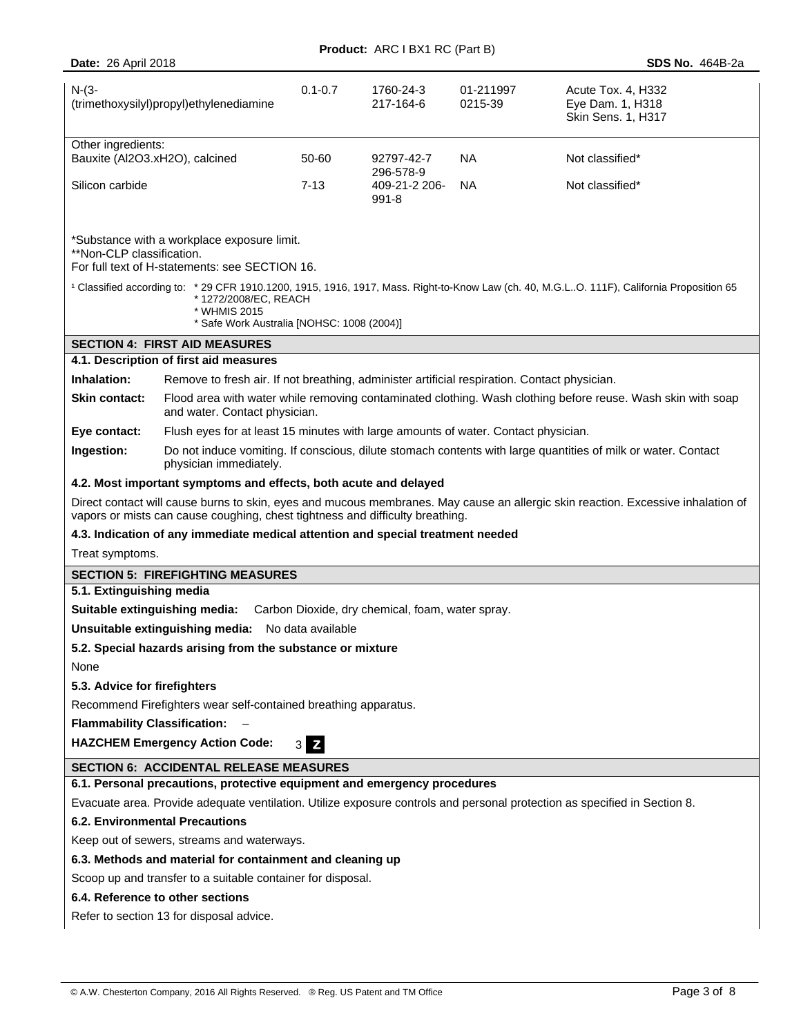|                                                                                   | <b>Product:</b> ARC I BX1 RC (Part B)                                                         |             |                               |                      |                                                                                                                                                       |
|-----------------------------------------------------------------------------------|-----------------------------------------------------------------------------------------------|-------------|-------------------------------|----------------------|-------------------------------------------------------------------------------------------------------------------------------------------------------|
| <b>Date: 26 April 2018</b><br><b>SDS No. 464B-2a</b>                              |                                                                                               |             |                               |                      |                                                                                                                                                       |
| $N-(3-$<br>(trimethoxysilyl)propyl)ethylenediamine                                |                                                                                               | $0.1 - 0.7$ | 1760-24-3<br>217-164-6        | 01-211997<br>0215-39 | Acute Tox. 4, H332<br>Eye Dam. 1, H318<br>Skin Sens. 1, H317                                                                                          |
| Other ingredients:                                                                |                                                                                               |             |                               |                      |                                                                                                                                                       |
| Bauxite (Al2O3.xH2O), calcined                                                    |                                                                                               | 50-60       | 92797-42-7<br>296-578-9       | <b>NA</b>            | Not classified*                                                                                                                                       |
| Silicon carbide                                                                   |                                                                                               | $7-13$      | 409-21-2 206-<br>NA.<br>991-8 |                      | Not classified*                                                                                                                                       |
| **Non-CLP classification.                                                         | *Substance with a workplace exposure limit.<br>For full text of H-statements: see SECTION 16. |             |                               |                      |                                                                                                                                                       |
|                                                                                   | *1272/2008/EC, REACH<br>* WHMIS 2015<br>* Safe Work Australia [NOHSC: 1008 (2004)]            |             |                               |                      | <sup>1</sup> Classified according to: * 29 CFR 1910.1200, 1915, 1916, 1917, Mass. Right-to-Know Law (ch. 40, M.G.LO. 111F), California Proposition 65 |
|                                                                                   | <b>SECTION 4: FIRST AID MEASURES</b>                                                          |             |                               |                      |                                                                                                                                                       |
|                                                                                   | 4.1. Description of first aid measures                                                        |             |                               |                      |                                                                                                                                                       |
| Inhalation:                                                                       | Remove to fresh air. If not breathing, administer artificial respiration. Contact physician.  |             |                               |                      |                                                                                                                                                       |
| <b>Skin contact:</b>                                                              | and water. Contact physician.                                                                 |             |                               |                      | Flood area with water while removing contaminated clothing. Wash clothing before reuse. Wash skin with soap                                           |
| Eye contact:                                                                      | Flush eyes for at least 15 minutes with large amounts of water. Contact physician.            |             |                               |                      |                                                                                                                                                       |
| Ingestion:                                                                        | physician immediately.                                                                        |             |                               |                      | Do not induce vomiting. If conscious, dilute stomach contents with large quantities of milk or water. Contact                                         |
|                                                                                   | 4.2. Most important symptoms and effects, both acute and delayed                              |             |                               |                      |                                                                                                                                                       |
|                                                                                   | vapors or mists can cause coughing, chest tightness and difficulty breathing.                 |             |                               |                      | Direct contact will cause burns to skin, eyes and mucous membranes. May cause an allergic skin reaction. Excessive inhalation of                      |
|                                                                                   | 4.3. Indication of any immediate medical attention and special treatment needed               |             |                               |                      |                                                                                                                                                       |
| Treat symptoms.                                                                   |                                                                                               |             |                               |                      |                                                                                                                                                       |
| <b>SECTION 5: FIREFIGHTING MEASURES</b>                                           |                                                                                               |             |                               |                      |                                                                                                                                                       |
| 5.1. Extinguishing media                                                          |                                                                                               |             |                               |                      |                                                                                                                                                       |
| Suitable extinguishing media:<br>Carbon Dioxide, dry chemical, foam, water spray. |                                                                                               |             |                               |                      |                                                                                                                                                       |
| <b>Unsuitable extinguishing media:</b> No data available                          |                                                                                               |             |                               |                      |                                                                                                                                                       |
| 5.2. Special hazards arising from the substance or mixture                        |                                                                                               |             |                               |                      |                                                                                                                                                       |
| None                                                                              |                                                                                               |             |                               |                      |                                                                                                                                                       |
| 5.3. Advice for firefighters                                                      |                                                                                               |             |                               |                      |                                                                                                                                                       |
|                                                                                   | Recommend Firefighters wear self-contained breathing apparatus.                               |             |                               |                      |                                                                                                                                                       |
| <b>Flammability Classification:</b>                                               |                                                                                               |             |                               |                      |                                                                                                                                                       |
| <b>HAZCHEM Emergency Action Code:</b><br>$3 \overline{z}$                         |                                                                                               |             |                               |                      |                                                                                                                                                       |
| <b>SECTION 6: ACCIDENTAL RELEASE MEASURES</b>                                     |                                                                                               |             |                               |                      |                                                                                                                                                       |
|                                                                                   | 6.1. Personal precautions, protective equipment and emergency procedures                      |             |                               |                      |                                                                                                                                                       |
|                                                                                   |                                                                                               |             |                               |                      | Evacuate area. Provide adequate ventilation. Utilize exposure controls and personal protection as specified in Section 8.                             |
| <b>6.2. Environmental Precautions</b>                                             |                                                                                               |             |                               |                      |                                                                                                                                                       |
| Keep out of sewers, streams and waterways.                                        |                                                                                               |             |                               |                      |                                                                                                                                                       |
| 6.3. Methods and material for containment and cleaning up                         |                                                                                               |             |                               |                      |                                                                                                                                                       |
| Scoop up and transfer to a suitable container for disposal.                       |                                                                                               |             |                               |                      |                                                                                                                                                       |
|                                                                                   | 6.4. Reference to other sections                                                              |             |                               |                      |                                                                                                                                                       |
| Refer to section 13 for disposal advice.                                          |                                                                                               |             |                               |                      |                                                                                                                                                       |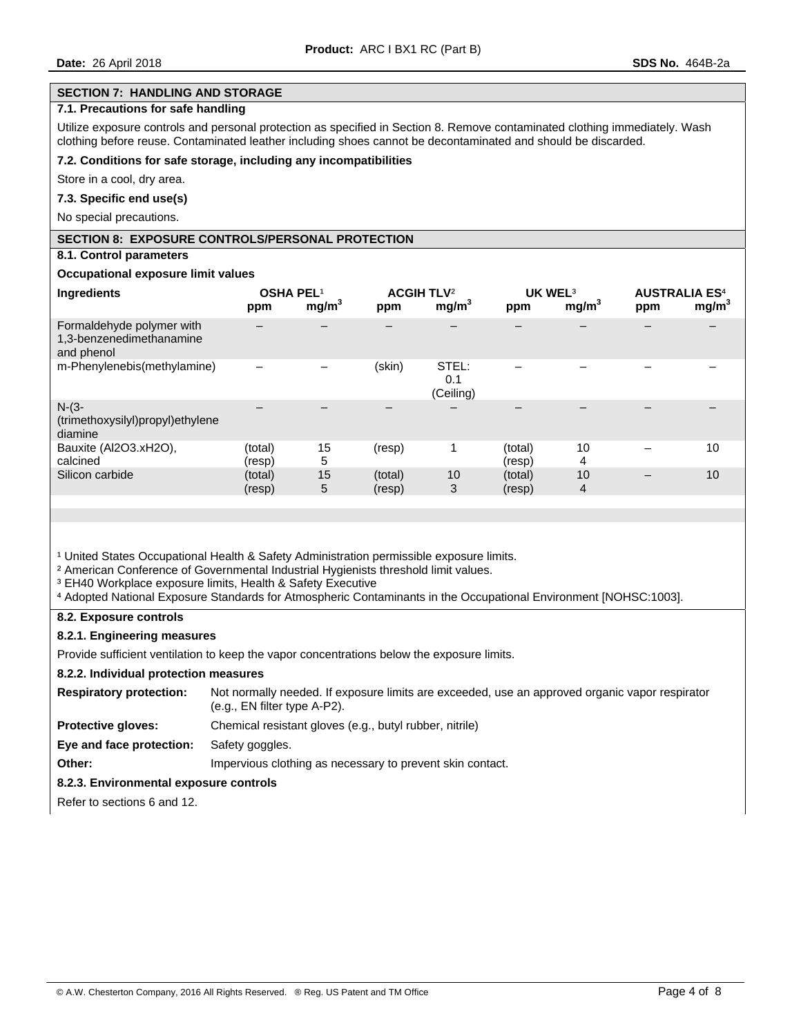#### **SECTION 7: HANDLING AND STORAGE**

## **7.1. Precautions for safe handling**

Utilize exposure controls and personal protection as specified in Section 8. Remove contaminated clothing immediately. Wash clothing before reuse. Contaminated leather including shoes cannot be decontaminated and should be discarded.

#### **7.2. Conditions for safe storage, including any incompatibilities**

Store in a cool, dry area.

#### **7.3. Specific end use(s)**

No special precautions.

## **SECTION 8: EXPOSURE CONTROLS/PERSONAL PROTECTION**

## **8.1. Control parameters**

#### **Occupational exposure limit values**

| Ingredients                                                         | OSHA PEL <sup>1</sup><br>ppm | mg/m <sup>3</sup> | <b>ACGIH TLV<sup>2</sup></b><br>ppm | mg/m <sup>3</sup>         | UK WEL <sup>3</sup><br>ppm | mg/m <sup>3</sup> | <b>AUSTRALIA ES<sup>4</sup></b><br>ppm | mg/m <sup>3</sup> |
|---------------------------------------------------------------------|------------------------------|-------------------|-------------------------------------|---------------------------|----------------------------|-------------------|----------------------------------------|-------------------|
| Formaldehyde polymer with<br>1,3-benzenedimethanamine<br>and phenol |                              |                   |                                     |                           |                            |                   |                                        |                   |
| m-Phenylenebis(methylamine)                                         |                              |                   | (skin)                              | STEL:<br>0.1<br>(Ceiling) |                            |                   |                                        |                   |
| $N-(3-$<br>(trimethoxysilyl)propyl)ethylene<br>diamine              |                              |                   |                                     |                           |                            |                   |                                        |                   |
| Bauxite (Al2O3.xH2O),<br>calcined                                   | (total)<br>(resp)            | 15<br>5           | (resp)                              | 1                         | (total)<br>(resp)          | 10<br>4           |                                        | 10                |
| Silicon carbide                                                     | (total)<br>(resp)            | 15<br>5           | (total)<br>(resp)                   | 10<br>3                   | (total)<br>(resp)          | 10<br>4           | -                                      | 10                |

<sup>1</sup> United States Occupational Health & Safety Administration permissible exposure limits.

² American Conference of Governmental Industrial Hygienists threshold limit values.

<sup>3</sup> EH40 Workplace exposure limits, Health & Safety Executive

⁴ Adopted National Exposure Standards for Atmospheric Contaminants in the Occupational Environment [NOHSC:1003].

#### **8.2. Exposure controls**

## **8.2.1. Engineering measures**

Provide sufficient ventilation to keep the vapor concentrations below the exposure limits.

#### **8.2.2. Individual protection measures**

| <b>Respiratory protection:</b> | Not normally needed. If exposure limits are exceeded, use an approved organic vapor respirator<br>$(e.g., EN filter type A-P2).$ |
|--------------------------------|----------------------------------------------------------------------------------------------------------------------------------|
| <b>Protective gloves:</b>      | Chemical resistant gloves (e.g., butyl rubber, nitrile)                                                                          |
| Eye and face protection:       | Safety goggles.                                                                                                                  |
| Other:                         | Impervious clothing as necessary to prevent skin contact.                                                                        |

## **8.2.3. Environmental exposure controls**

Refer to sections 6 and 12.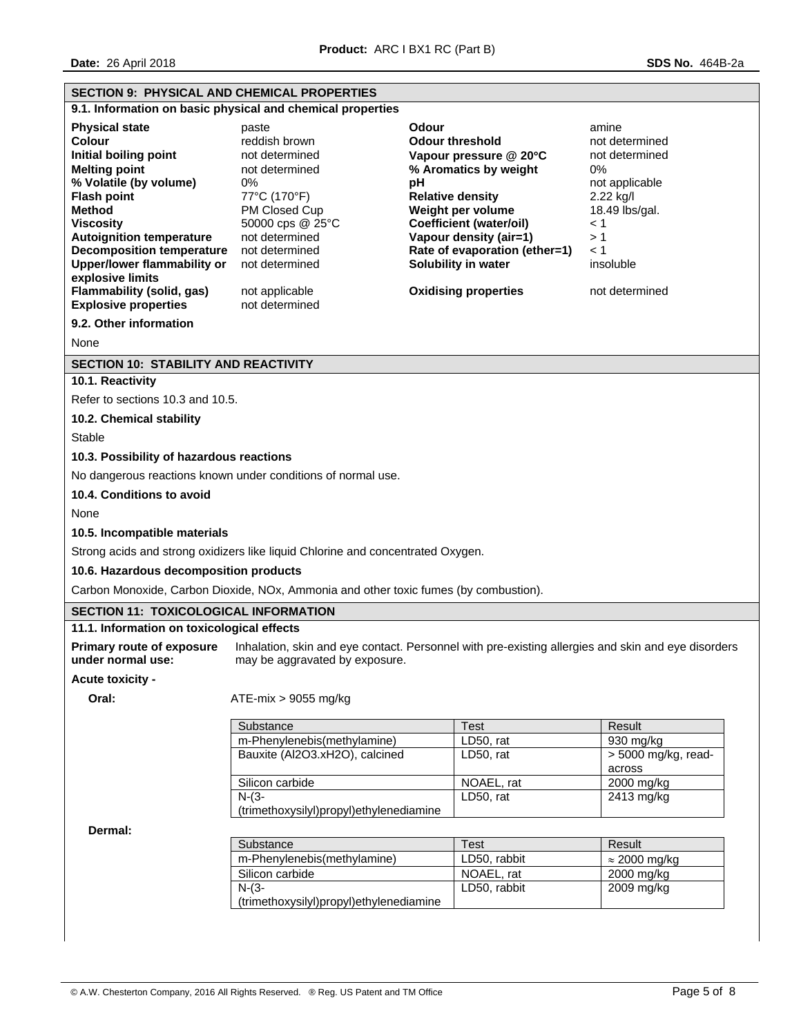|                                                                                                                                              | <b>SECTION 9: PHYSICAL AND CHEMICAL PROPERTIES</b>                                   |                                                                                                    |                               |  |  |
|----------------------------------------------------------------------------------------------------------------------------------------------|--------------------------------------------------------------------------------------|----------------------------------------------------------------------------------------------------|-------------------------------|--|--|
|                                                                                                                                              | 9.1. Information on basic physical and chemical properties                           |                                                                                                    |                               |  |  |
| <b>Physical state</b>                                                                                                                        | paste                                                                                | Odour                                                                                              | amine                         |  |  |
| Colour                                                                                                                                       | reddish brown                                                                        | <b>Odour threshold</b><br>not determined                                                           |                               |  |  |
| Initial boiling point                                                                                                                        | not determined                                                                       | Vapour pressure @ 20°C                                                                             | not determined                |  |  |
| <b>Melting point</b>                                                                                                                         | not determined                                                                       | % Aromatics by weight                                                                              | 0%                            |  |  |
| % Volatile (by volume)                                                                                                                       | 0%                                                                                   | рH                                                                                                 | not applicable                |  |  |
| <b>Flash point</b><br>Method                                                                                                                 | 77°C (170°F)<br>PM Closed Cup                                                        | <b>Relative density</b><br>Weight per volume                                                       | 2.22 kg/l<br>18.49 lbs/gal.   |  |  |
| <b>Viscosity</b>                                                                                                                             | 50000 cps @ 25°C                                                                     | <b>Coefficient (water/oil)</b>                                                                     | $\leq 1$                      |  |  |
| <b>Autoignition temperature</b>                                                                                                              | not determined                                                                       | Vapour density (air=1)                                                                             | >1                            |  |  |
| <b>Decomposition temperature</b>                                                                                                             | not determined                                                                       | Rate of evaporation (ether=1)                                                                      | $\leq 1$                      |  |  |
| <b>Upper/lower flammability or</b>                                                                                                           | not determined                                                                       | Solubility in water                                                                                | insoluble                     |  |  |
| explosive limits<br><b>Flammability (solid, gas)</b>                                                                                         |                                                                                      | <b>Oxidising properties</b>                                                                        | not determined                |  |  |
| <b>Explosive properties</b>                                                                                                                  | not applicable<br>not determined                                                     |                                                                                                    |                               |  |  |
| 9.2. Other information                                                                                                                       |                                                                                      |                                                                                                    |                               |  |  |
| None                                                                                                                                         |                                                                                      |                                                                                                    |                               |  |  |
| <b>SECTION 10: STABILITY AND REACTIVITY</b>                                                                                                  |                                                                                      |                                                                                                    |                               |  |  |
| 10.1. Reactivity                                                                                                                             |                                                                                      |                                                                                                    |                               |  |  |
| Refer to sections 10.3 and 10.5.                                                                                                             |                                                                                      |                                                                                                    |                               |  |  |
| 10.2. Chemical stability                                                                                                                     |                                                                                      |                                                                                                    |                               |  |  |
| Stable                                                                                                                                       |                                                                                      |                                                                                                    |                               |  |  |
|                                                                                                                                              |                                                                                      |                                                                                                    |                               |  |  |
| 10.3. Possibility of hazardous reactions                                                                                                     |                                                                                      |                                                                                                    |                               |  |  |
|                                                                                                                                              | No dangerous reactions known under conditions of normal use.                         |                                                                                                    |                               |  |  |
| 10.4. Conditions to avoid                                                                                                                    |                                                                                      |                                                                                                    |                               |  |  |
|                                                                                                                                              |                                                                                      |                                                                                                    |                               |  |  |
|                                                                                                                                              |                                                                                      |                                                                                                    |                               |  |  |
| None<br>10.5. Incompatible materials                                                                                                         |                                                                                      |                                                                                                    |                               |  |  |
|                                                                                                                                              | Strong acids and strong oxidizers like liquid Chlorine and concentrated Oxygen.      |                                                                                                    |                               |  |  |
| 10.6. Hazardous decomposition products                                                                                                       |                                                                                      |                                                                                                    |                               |  |  |
|                                                                                                                                              | Carbon Monoxide, Carbon Dioxide, NOx, Ammonia and other toxic fumes (by combustion). |                                                                                                    |                               |  |  |
|                                                                                                                                              |                                                                                      |                                                                                                    |                               |  |  |
|                                                                                                                                              |                                                                                      |                                                                                                    |                               |  |  |
| <b>SECTION 11: TOXICOLOGICAL INFORMATION</b><br>11.1. Information on toxicological effects<br>Primary route of exposure<br>under normal use: | may be aggravated by exposure.                                                       | Inhalation, skin and eye contact. Personnel with pre-existing allergies and skin and eye disorders |                               |  |  |
|                                                                                                                                              |                                                                                      |                                                                                                    |                               |  |  |
| Oral:                                                                                                                                        | $ATE-mix > 9055 mg/kg$                                                               |                                                                                                    |                               |  |  |
|                                                                                                                                              |                                                                                      |                                                                                                    |                               |  |  |
|                                                                                                                                              | Substance                                                                            | <b>Test</b>                                                                                        | Result                        |  |  |
|                                                                                                                                              | m-Phenylenebis(methylamine)                                                          | LD50, rat                                                                                          | 930 mg/kg                     |  |  |
|                                                                                                                                              | Bauxite (Al2O3.xH2O), calcined                                                       | LD50, rat                                                                                          | > 5000 mg/kg, read-<br>across |  |  |
|                                                                                                                                              | Silicon carbide                                                                      | NOAEL, rat                                                                                         | 2000 mg/kg                    |  |  |
|                                                                                                                                              | $N-(3-$                                                                              | LD50, rat                                                                                          | 2413 mg/kg                    |  |  |
|                                                                                                                                              | (trimethoxysilyl)propyl)ethylenediamine                                              |                                                                                                    |                               |  |  |
| Dermal:                                                                                                                                      |                                                                                      |                                                                                                    |                               |  |  |
|                                                                                                                                              | Substance                                                                            | Test                                                                                               | Result                        |  |  |
|                                                                                                                                              | m-Phenylenebis(methylamine)                                                          | LD50, rabbit                                                                                       | $\approx$ 2000 mg/kg          |  |  |
|                                                                                                                                              | Silicon carbide                                                                      | NOAEL, rat                                                                                         | 2000 mg/kg                    |  |  |
| Acute toxicity -                                                                                                                             | $N-(3-$<br>(trimethoxysilyl)propyl)ethylenediamine                                   | LD50, rabbit                                                                                       | 2009 mg/kg                    |  |  |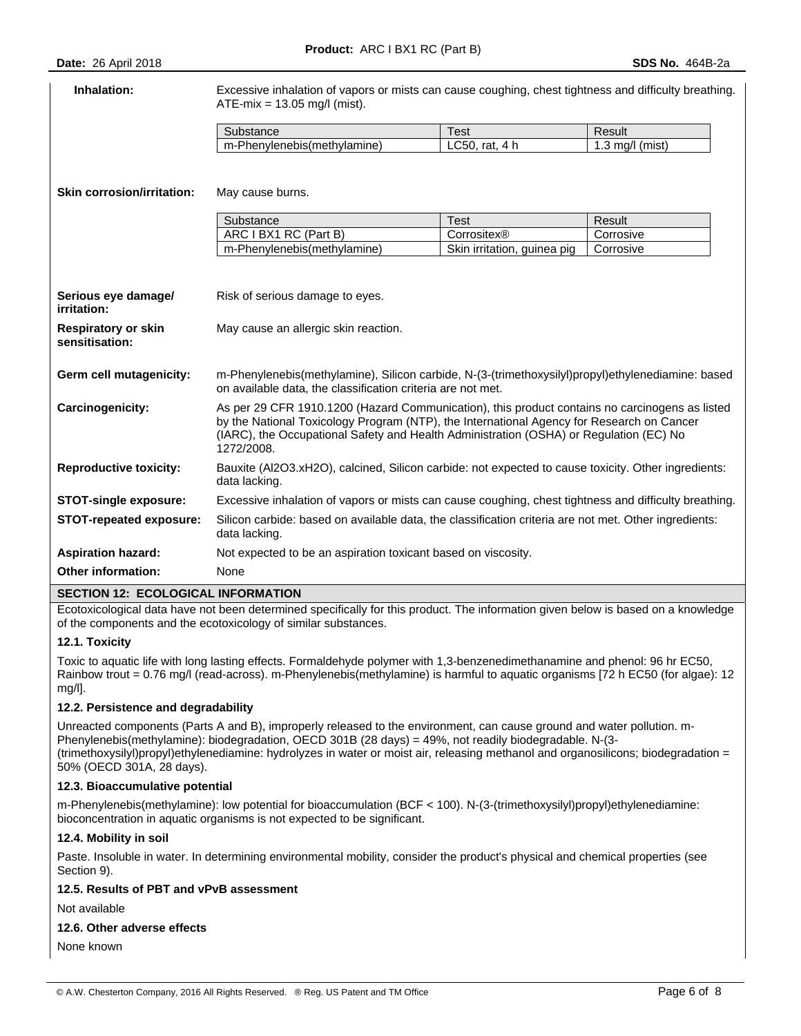| Inhalation:                                  | Excessive inhalation of vapors or mists can cause coughing, chest tightness and difficulty breathing.<br>$ATE-mix = 13.05$ mg/l (mist).                                                                                                                                                             |                                            |                        |  |  |
|----------------------------------------------|-----------------------------------------------------------------------------------------------------------------------------------------------------------------------------------------------------------------------------------------------------------------------------------------------------|--------------------------------------------|------------------------|--|--|
|                                              | Substance                                                                                                                                                                                                                                                                                           | <b>Test</b>                                | Result                 |  |  |
|                                              | m-Phenylenebis(methylamine)                                                                                                                                                                                                                                                                         | LC50, rat, 4 h                             | $1.3$ mg/l (mist)      |  |  |
| <b>Skin corrosion/irritation:</b>            | May cause burns.                                                                                                                                                                                                                                                                                    |                                            |                        |  |  |
|                                              | Substance                                                                                                                                                                                                                                                                                           | <b>Test</b>                                | Result                 |  |  |
|                                              | ARC I BX1 RC (Part B)<br>m-Phenylenebis(methylamine)                                                                                                                                                                                                                                                | Corrositex®<br>Skin irritation, guinea pig | Corrosive<br>Corrosive |  |  |
| Serious eye damagel                          | Risk of serious damage to eyes.                                                                                                                                                                                                                                                                     |                                            |                        |  |  |
| irritation:                                  |                                                                                                                                                                                                                                                                                                     |                                            |                        |  |  |
| <b>Respiratory or skin</b><br>sensitisation: | May cause an allergic skin reaction.                                                                                                                                                                                                                                                                |                                            |                        |  |  |
| Germ cell mutagenicity:                      | m-Phenylenebis(methylamine), Silicon carbide, N-(3-(trimethoxysilyl)propyl)ethylenediamine: based<br>on available data, the classification criteria are not met.                                                                                                                                    |                                            |                        |  |  |
| Carcinogenicity:                             | As per 29 CFR 1910.1200 (Hazard Communication), this product contains no carcinogens as listed<br>by the National Toxicology Program (NTP), the International Agency for Research on Cancer<br>(IARC), the Occupational Safety and Health Administration (OSHA) or Regulation (EC) No<br>1272/2008. |                                            |                        |  |  |
| <b>Reproductive toxicity:</b>                | Bauxite (Al2O3.xH2O), calcined, Silicon carbide: not expected to cause toxicity. Other ingredients:<br>data lacking.                                                                                                                                                                                |                                            |                        |  |  |
| <b>STOT-single exposure:</b>                 | Excessive inhalation of vapors or mists can cause coughing, chest tightness and difficulty breathing.                                                                                                                                                                                               |                                            |                        |  |  |
| STOT-repeated exposure:                      | Silicon carbide: based on available data, the classification criteria are not met. Other ingredients:<br>data lacking.                                                                                                                                                                              |                                            |                        |  |  |
| <b>Aspiration hazard:</b>                    | Not expected to be an aspiration toxicant based on viscosity.                                                                                                                                                                                                                                       |                                            |                        |  |  |
| <b>Other information:</b>                    | None                                                                                                                                                                                                                                                                                                |                                            |                        |  |  |

## **SECTION 12: ECOLOGICAL INFORMATION**

Ecotoxicological data have not been determined specifically for this product. The information given below is based on a knowledge of the components and the ecotoxicology of similar substances.

## **12.1. Toxicity**

Toxic to aquatic life with long lasting effects. Formaldehyde polymer with 1,3-benzenedimethanamine and phenol: 96 hr EC50, Rainbow trout = 0.76 mg/l (read-across). m-Phenylenebis(methylamine) is harmful to aquatic organisms [72 h EC50 (for algae): 12 mg/l].

#### **12.2. Persistence and degradability**

Unreacted components (Parts A and B), improperly released to the environment, can cause ground and water pollution. m-Phenylenebis(methylamine): biodegradation, OECD 301B (28 days) = 49%, not readily biodegradable. N-(3- (trimethoxysilyl)propyl)ethylenediamine: hydrolyzes in water or moist air, releasing methanol and organosilicons; biodegradation = 50% (OECD 301A, 28 days).

#### **12.3. Bioaccumulative potential**

m-Phenylenebis(methylamine): low potential for bioaccumulation (BCF < 100). N-(3-(trimethoxysilyl)propyl)ethylenediamine: bioconcentration in aquatic organisms is not expected to be significant.

## **12.4. Mobility in soil**

Paste. Insoluble in water. In determining environmental mobility, consider the product's physical and chemical properties (see Section 9).

#### **12.5. Results of PBT and vPvB assessment**

Not available

## **12.6. Other adverse effects**

None known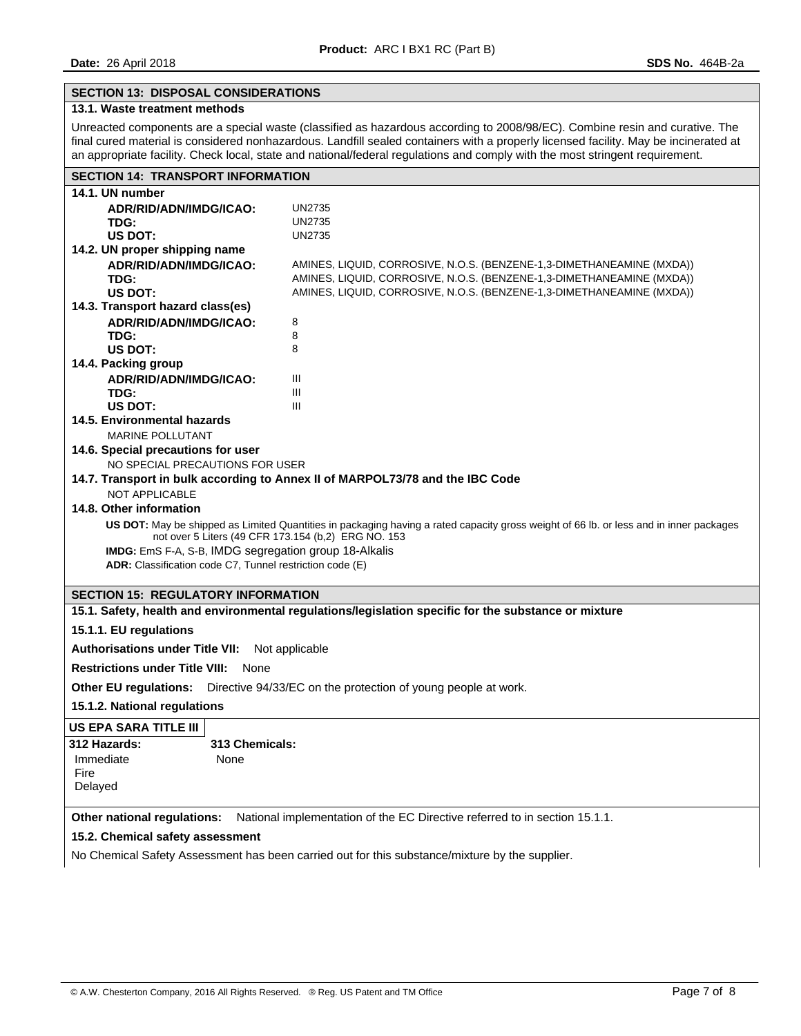## **SECTION 13: DISPOSAL CONSIDERATIONS**

# **13.1. Waste treatment methods**

Unreacted components are a special waste (classified as hazardous according to 2008/98/EC). Combine resin and curative. The final cured material is considered nonhazardous. Landfill sealed containers with a properly licensed facility. May be incinerated at an appropriate facility. Check local, state and national/federal regulations and comply with the most stringent requirement.

| <b>SECTION 14: TRANSPORT INFORMATION</b>                 |                                                                                                                                                                                               |  |  |  |  |  |
|----------------------------------------------------------|-----------------------------------------------------------------------------------------------------------------------------------------------------------------------------------------------|--|--|--|--|--|
| 14.1. UN number                                          |                                                                                                                                                                                               |  |  |  |  |  |
| ADR/RID/ADN/IMDG/ICAO:                                   | <b>UN2735</b>                                                                                                                                                                                 |  |  |  |  |  |
| TDG:                                                     | <b>UN2735</b>                                                                                                                                                                                 |  |  |  |  |  |
| US DOT:                                                  | <b>UN2735</b>                                                                                                                                                                                 |  |  |  |  |  |
| 14.2. UN proper shipping name                            |                                                                                                                                                                                               |  |  |  |  |  |
| ADR/RID/ADN/IMDG/ICAO:<br>TDG:                           | AMINES, LIQUID, CORROSIVE, N.O.S. (BENZENE-1,3-DIMETHANEAMINE (MXDA))<br>AMINES, LIQUID, CORROSIVE, N.O.S. (BENZENE-1,3-DIMETHANEAMINE (MXDA))                                                |  |  |  |  |  |
| US DOT:                                                  | AMINES, LIQUID, CORROSIVE, N.O.S. (BENZENE-1,3-DIMETHANEAMINE (MXDA))                                                                                                                         |  |  |  |  |  |
| 14.3. Transport hazard class(es)                         |                                                                                                                                                                                               |  |  |  |  |  |
| ADR/RID/ADN/IMDG/ICAO:                                   | 8                                                                                                                                                                                             |  |  |  |  |  |
| TDG:                                                     | 8                                                                                                                                                                                             |  |  |  |  |  |
| US DOT:                                                  | 8                                                                                                                                                                                             |  |  |  |  |  |
| 14.4. Packing group                                      |                                                                                                                                                                                               |  |  |  |  |  |
| ADR/RID/ADN/IMDG/ICAO:                                   | Ш                                                                                                                                                                                             |  |  |  |  |  |
| TDG:                                                     | Ш                                                                                                                                                                                             |  |  |  |  |  |
| US DOT:<br>14.5. Environmental hazards                   | Ш                                                                                                                                                                                             |  |  |  |  |  |
| <b>MARINE POLLUTANT</b>                                  |                                                                                                                                                                                               |  |  |  |  |  |
| 14.6. Special precautions for user                       |                                                                                                                                                                                               |  |  |  |  |  |
| NO SPECIAL PRECAUTIONS FOR USER                          |                                                                                                                                                                                               |  |  |  |  |  |
|                                                          | 14.7. Transport in bulk according to Annex II of MARPOL73/78 and the IBC Code                                                                                                                 |  |  |  |  |  |
| <b>NOT APPLICABLE</b>                                    |                                                                                                                                                                                               |  |  |  |  |  |
| 14.8. Other information                                  |                                                                                                                                                                                               |  |  |  |  |  |
|                                                          | US DOT: May be shipped as Limited Quantities in packaging having a rated capacity gross weight of 66 lb. or less and in inner packages<br>not over 5 Liters (49 CFR 173.154 (b,2) ERG NO. 153 |  |  |  |  |  |
|                                                          | IMDG: EmS F-A, S-B, IMDG segregation group 18-Alkalis                                                                                                                                         |  |  |  |  |  |
| ADR: Classification code C7, Tunnel restriction code (E) |                                                                                                                                                                                               |  |  |  |  |  |
|                                                          |                                                                                                                                                                                               |  |  |  |  |  |
| <b>SECTION 15: REGULATORY INFORMATION</b>                |                                                                                                                                                                                               |  |  |  |  |  |
|                                                          | 15.1. Safety, health and environmental regulations/legislation specific for the substance or mixture                                                                                          |  |  |  |  |  |
| 15.1.1. EU regulations                                   |                                                                                                                                                                                               |  |  |  |  |  |
| <b>Authorisations under Title VII:</b>                   | Not applicable                                                                                                                                                                                |  |  |  |  |  |
| <b>Restrictions under Title VIII:</b>                    | None                                                                                                                                                                                          |  |  |  |  |  |
|                                                          | <b>Other EU regulations:</b> Directive 94/33/EC on the protection of young people at work.                                                                                                    |  |  |  |  |  |
| 15.1.2. National regulations                             |                                                                                                                                                                                               |  |  |  |  |  |
| US EPA SARA TITLE III                                    |                                                                                                                                                                                               |  |  |  |  |  |
| 312 Hazards:                                             | 313 Chemicals:                                                                                                                                                                                |  |  |  |  |  |
| Immediate<br>None                                        |                                                                                                                                                                                               |  |  |  |  |  |
| Fire                                                     |                                                                                                                                                                                               |  |  |  |  |  |
| Delayed                                                  |                                                                                                                                                                                               |  |  |  |  |  |
| Other national regulations:                              | National implementation of the EC Directive referred to in section 15.1.1.                                                                                                                    |  |  |  |  |  |
| 15.2. Chemical safety assessment                         |                                                                                                                                                                                               |  |  |  |  |  |

No Chemical Safety Assessment has been carried out for this substance/mixture by the supplier.